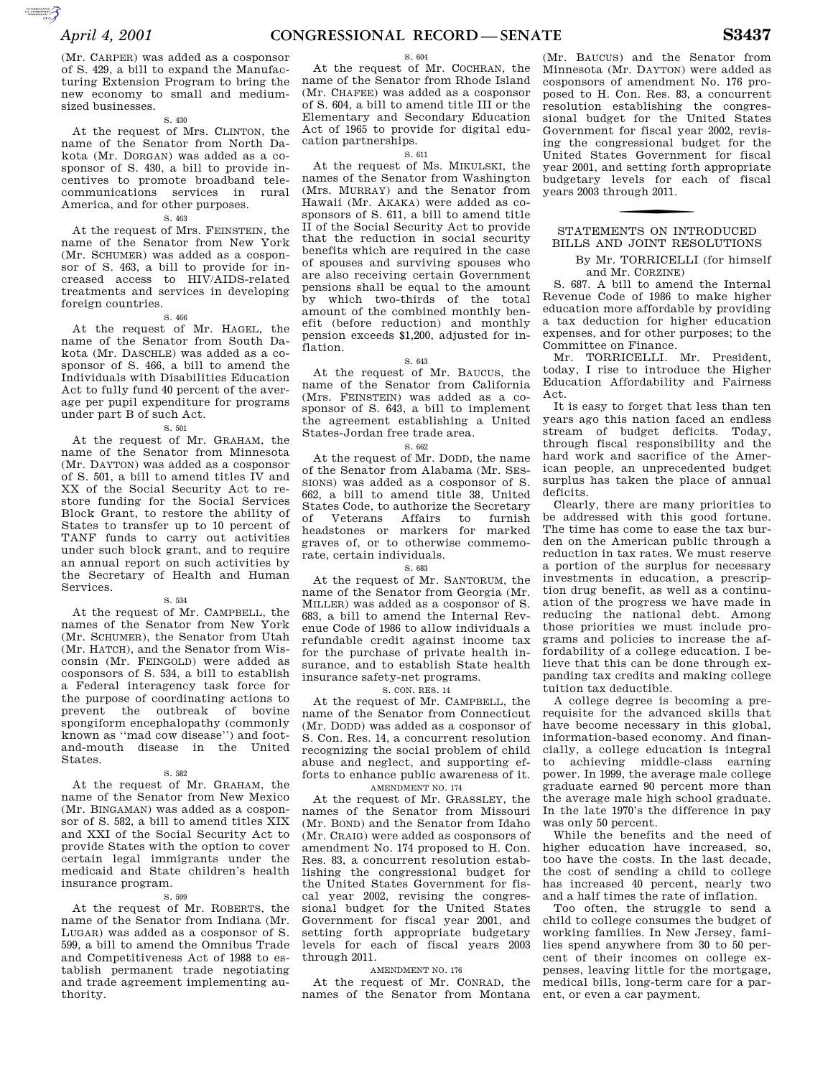(Mr. CARPER) was added as a cosponsor of S. 429, a bill to expand the Manufacturing Extension Program to bring the new economy to small and mediumsized businesses.

S. 430

At the request of Mrs. CLINTON, the name of the Senator from North Dakota (Mr. DORGAN) was added as a cosponsor of S. 430, a bill to provide incentives to promote broadband telecommunications services in rural America, and for other purposes.

### S. 463

At the request of Mrs. FEINSTEIN, the name of the Senator from New York (Mr. SCHUMER) was added as a cosponsor of S. 463, a bill to provide for increased access to HIV/AIDS-related treatments and services in developing foreign countries.

S. 466

At the request of Mr. HAGEL, the name of the Senator from South Dakota (Mr. DASCHLE) was added as a cosponsor of S. 466, a bill to amend the Individuals with Disabilities Education Act to fully fund 40 percent of the average per pupil expenditure for programs under part B of such Act.

S. 501

At the request of Mr. GRAHAM, the name of the Senator from Minnesota (Mr. DAYTON) was added as a cosponsor of S. 501, a bill to amend titles IV and XX of the Social Security Act to restore funding for the Social Services Block Grant, to restore the ability of States to transfer up to 10 percent of TANF funds to carry out activities under such block grant, and to require an annual report on such activities by the Secretary of Health and Human Services.

### S. 534

At the request of Mr. CAMPBELL, the names of the Senator from New York (Mr. SCHUMER), the Senator from Utah (Mr. HATCH), and the Senator from Wisconsin (Mr. FEINGOLD) were added as cosponsors of S. 534, a bill to establish a Federal interagency task force for the purpose of coordinating actions to prevent the outbreak of bovine spongiform encephalopathy (commonly known as ''mad cow disease'') and footand-mouth disease in the United States.

#### S. 582

At the request of Mr. GRAHAM, the name of the Senator from New Mexico (Mr. BINGAMAN) was added as a cosponsor of S. 582, a bill to amend titles XIX and XXI of the Social Security Act to provide States with the option to cover certain legal immigrants under the medicaid and State children's health insurance program.

#### S. 599

At the request of Mr. ROBERTS, the name of the Senator from Indiana (Mr. LUGAR) was added as a cosponsor of S. 599, a bill to amend the Omnibus Trade and Competitiveness Act of 1988 to establish permanent trade negotiating and trade agreement implementing authority.

### S. 604

At the request of Mr. COCHRAN, the name of the Senator from Rhode Island (Mr. CHAFEE) was added as a cosponsor of S. 604, a bill to amend title III or the Elementary and Secondary Education Act of 1965 to provide for digital education partnerships.

### S. 611

At the request of Ms. MIKULSKI, the names of the Senator from Washington (Mrs. MURRAY) and the Senator from Hawaii (Mr. AKAKA) were added as cosponsors of S. 611, a bill to amend title II of the Social Security Act to provide that the reduction in social security benefits which are required in the case of spouses and surviving spouses who are also receiving certain Government pensions shall be equal to the amount by which two-thirds of the total amount of the combined monthly benefit (before reduction) and monthly pension exceeds \$1,200, adjusted for inflation.

#### S. 643

At the request of Mr. BAUCUS, the name of the Senator from California (Mrs. FEINSTEIN) was added as a cosponsor of S. 643, a bill to implement the agreement establishing a United States-Jordan free trade area.

S. 662

At the request of Mr. DODD, the name of the Senator from Alabama (Mr. SES-SIONS) was added as a cosponsor of S. 662, a bill to amend title 38, United States Code, to authorize the Secretary of Veterans Affairs to furnish headstones or markers for marked graves of, or to otherwise commemorate, certain individuals.

### S. 683

At the request of Mr. SANTORUM, the name of the Senator from Georgia (Mr. MILLER) was added as a cosponsor of S. 683, a bill to amend the Internal Revenue Code of 1986 to allow individuals a refundable credit against income tax for the purchase of private health insurance, and to establish State health insurance safety-net programs.

S. CON. RES. 14

At the request of Mr. CAMPBELL, the name of the Senator from Connecticut (Mr. DODD) was added as a cosponsor of S. Con. Res. 14, a concurrent resolution recognizing the social problem of child abuse and neglect, and supporting efforts to enhance public awareness of it. AMENDMENT NO. 174

At the request of Mr. GRASSLEY, the names of the Senator from Missouri (Mr. BOND) and the Senator from Idaho (Mr. CRAIG) were added as cosponsors of amendment No. 174 proposed to H. Con. Res. 83, a concurrent resolution establishing the congressional budget for the United States Government for fiscal year 2002, revising the congressional budget for the United States Government for fiscal year 2001, and setting forth appropriate budgetary levels for each of fiscal years 2003 through 2011.

### AMENDMENT NO. 176

At the request of Mr. CONRAD, the names of the Senator from Montana

(Mr. BAUCUS) and the Senator from Minnesota (Mr. DAYTON) were added as cosponsors of amendment No. 176 proposed to H. Con. Res. 83, a concurrent resolution establishing the congressional budget for the United States Government for fiscal year 2002, revising the congressional budget for the United States Government for fiscal year 2001, and setting forth appropriate budgetary levels for each of fiscal years 2003 through 2011.

# STATEMENTS ON INTRODUCED BILLS AND JOINT RESOLUTIONS

By Mr. TORRICELLI (for himself and Mr. CORZINE)

S. 687. A bill to amend the Internal Revenue Code of 1986 to make higher education more affordable by providing a tax deduction for higher education expenses, and for other purposes; to the Committee on Finance.

Mr. TORRICELLI. Mr. President, today, I rise to introduce the Higher Education Affordability and Fairness Act.

It is easy to forget that less than ten years ago this nation faced an endless stream of budget deficits. Today, through fiscal responsibility and the hard work and sacrifice of the American people, an unprecedented budget surplus has taken the place of annual deficits.

Clearly, there are many priorities to be addressed with this good fortune. The time has come to ease the tax burden on the American public through a reduction in tax rates. We must reserve a portion of the surplus for necessary investments in education, a prescription drug benefit, as well as a continuation of the progress we have made in reducing the national debt. Among those priorities we must include programs and policies to increase the affordability of a college education. I believe that this can be done through expanding tax credits and making college tuition tax deductible.

A college degree is becoming a prerequisite for the advanced skills that have become necessary in this global, information-based economy. And financially, a college education is integral to achieving middle-class earning power. In 1999, the average male college graduate earned 90 percent more than the average male high school graduate. In the late 1970's the difference in pay was only 50 percent.

While the benefits and the need of higher education have increased, so, too have the costs. In the last decade, the cost of sending a child to college has increased 40 percent, nearly two and a half times the rate of inflation.

Too often, the struggle to send a child to college consumes the budget of working families. In New Jersey, families spend anywhere from 30 to 50 percent of their incomes on college expenses, leaving little for the mortgage, medical bills, long-term care for a parent, or even a car payment.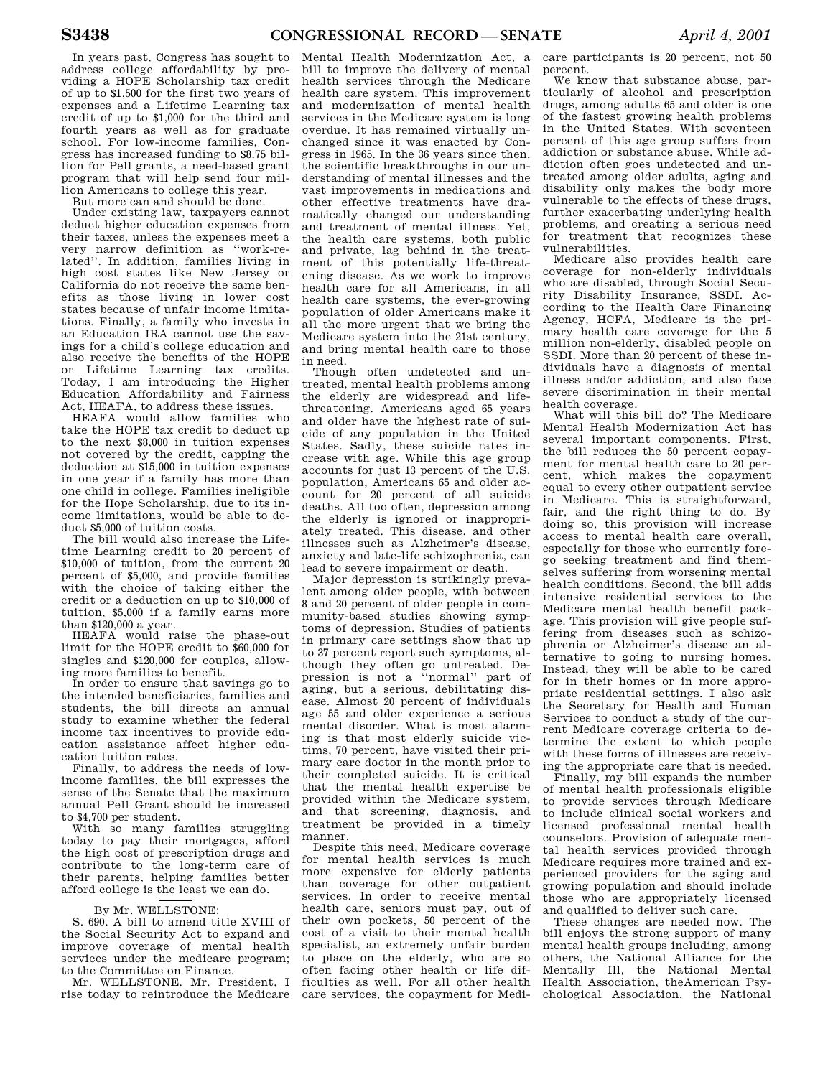In years past, Congress has sought to address college affordability by providing a HOPE Scholarship tax credit of up to \$1,500 for the first two years of expenses and a Lifetime Learning tax credit of up to \$1,000 for the third and fourth years as well as for graduate school. For low-income families, Congress has increased funding to \$8.75 billion for Pell grants, a need-based grant program that will help send four million Americans to college this year.

But more can and should be done.

Under existing law, taxpayers cannot deduct higher education expenses from their taxes, unless the expenses meet a very narrow definition as ''work-related''. In addition, families living in high cost states like New Jersey or California do not receive the same benefits as those living in lower cost states because of unfair income limitations. Finally, a family who invests in an Education IRA cannot use the savings for a child's college education and also receive the benefits of the HOPE or Lifetime Learning tax credits. Today, I am introducing the Higher Education Affordability and Fairness Act, HEAFA, to address these issues.

HEAFA would allow families who take the HOPE tax credit to deduct up to the next \$8,000 in tuition expenses not covered by the credit, capping the deduction at \$15,000 in tuition expenses in one year if a family has more than one child in college. Families ineligible for the Hope Scholarship, due to its income limitations, would be able to deduct \$5,000 of tuition costs.

The bill would also increase the Lifetime Learning credit to 20 percent of \$10,000 of tuition, from the current 20 percent of \$5,000, and provide families with the choice of taking either the credit or a deduction on up to \$10,000 of tuition, \$5,000 if a family earns more than \$120,000 a year.

HEAFA would raise the phase-out limit for the HOPE credit to \$60,000 for singles and \$120,000 for couples, allowing more families to benefit.

In order to ensure that savings go to the intended beneficiaries, families and students, the bill directs an annual study to examine whether the federal income tax incentives to provide education assistance affect higher education tuition rates.

Finally, to address the needs of lowincome families, the bill expresses the sense of the Senate that the maximum annual Pell Grant should be increased to \$4,700 per student.

With so many families struggling today to pay their mortgages, afford the high cost of prescription drugs and contribute to the long-term care of their parents, helping families better afford college is the least we can do.

# By Mr. WELLSTONE:

S. 690. A bill to amend title XVIII of the Social Security Act to expand and improve coverage of mental health services under the medicare program; to the Committee on Finance.

Mr. WELLSTONE. Mr. President, I rise today to reintroduce the Medicare

Mental Health Modernization Act, a bill to improve the delivery of mental health services through the Medicare health care system. This improvement and modernization of mental health services in the Medicare system is long overdue. It has remained virtually unchanged since it was enacted by Congress in 1965. In the 36 years since then, the scientific breakthroughs in our understanding of mental illnesses and the vast improvements in medications and other effective treatments have dramatically changed our understanding and treatment of mental illness. Yet, the health care systems, both public and private, lag behind in the treatment of this potentially life-threatening disease. As we work to improve health care for all Americans, in all health care systems, the ever-growing population of older Americans make it all the more urgent that we bring the Medicare system into the 21st century, and bring mental health care to those in need.

Though often undetected and untreated, mental health problems among the elderly are widespread and lifethreatening. Americans aged 65 years and older have the highest rate of suicide of any population in the United States. Sadly, these suicide rates increase with age. While this age group accounts for just 13 percent of the U.S. population, Americans 65 and older account for 20 percent of all suicide deaths. All too often, depression among the elderly is ignored or inappropriately treated. This disease, and other illnesses such as Alzheimer's disease, anxiety and late-life schizophrenia, can lead to severe impairment or death.

Major depression is strikingly prevalent among older people, with between 8 and 20 percent of older people in community-based studies showing symptoms of depression. Studies of patients in primary care settings show that up to 37 percent report such symptoms, although they often go untreated. Depression is not a ''normal'' part of aging, but a serious, debilitating disease. Almost 20 percent of individuals age 55 and older experience a serious mental disorder. What is most alarming is that most elderly suicide victims, 70 percent, have visited their primary care doctor in the month prior to their completed suicide. It is critical that the mental health expertise be provided within the Medicare system, and that screening, diagnosis, and treatment be provided in a timely manner.

Despite this need, Medicare coverage for mental health services is much more expensive for elderly patients than coverage for other outpatient services. In order to receive mental health care, seniors must pay, out of their own pockets, 50 percent of the cost of a visit to their mental health specialist, an extremely unfair burden to place on the elderly, who are so often facing other health or life difficulties as well. For all other health care services, the copayment for Medi-

care participants is 20 percent, not 50 percent.

We know that substance abuse, particularly of alcohol and prescription drugs, among adults 65 and older is one of the fastest growing health problems in the United States. With seventeen percent of this age group suffers from addiction or substance abuse. While addiction often goes undetected and untreated among older adults, aging and disability only makes the body more vulnerable to the effects of these drugs, further exacerbating underlying health problems, and creating a serious need for treatment that recognizes these vulnerabilities.

Medicare also provides health care coverage for non-elderly individuals who are disabled, through Social Security Disability Insurance, SSDI. According to the Health Care Financing Agency, HCFA, Medicare is the primary health care coverage for the 5 million non-elderly, disabled people on SSDI. More than 20 percent of these individuals have a diagnosis of mental illness and/or addiction, and also face severe discrimination in their mental health coverage.

What will this bill do? The Medicare Mental Health Modernization Act has several important components. First, the bill reduces the 50 percent copayment for mental health care to 20 percent, which makes the copayment equal to every other outpatient service in Medicare. This is straightforward, fair, and the right thing to do. By doing so, this provision will increase access to mental health care overall, especially for those who currently forego seeking treatment and find themselves suffering from worsening mental health conditions. Second, the bill adds intensive residential services to the Medicare mental health benefit package. This provision will give people suffering from diseases such as schizophrenia or Alzheimer's disease an alternative to going to nursing homes. Instead, they will be able to be cared for in their homes or in more appropriate residential settings. I also ask the Secretary for Health and Human Services to conduct a study of the current Medicare coverage criteria to determine the extent to which people with these forms of illnesses are receiving the appropriate care that is needed.

Finally, my bill expands the number of mental health professionals eligible to provide services through Medicare to include clinical social workers and licensed professional mental health counselors. Provision of adequate mental health services provided through Medicare requires more trained and experienced providers for the aging and growing population and should include those who are appropriately licensed and qualified to deliver such care.

These changes are needed now. The bill enjoys the strong support of many mental health groups including, among others, the National Alliance for the Mentally Ill, the National Mental Health Association, theAmerican Psychological Association, the National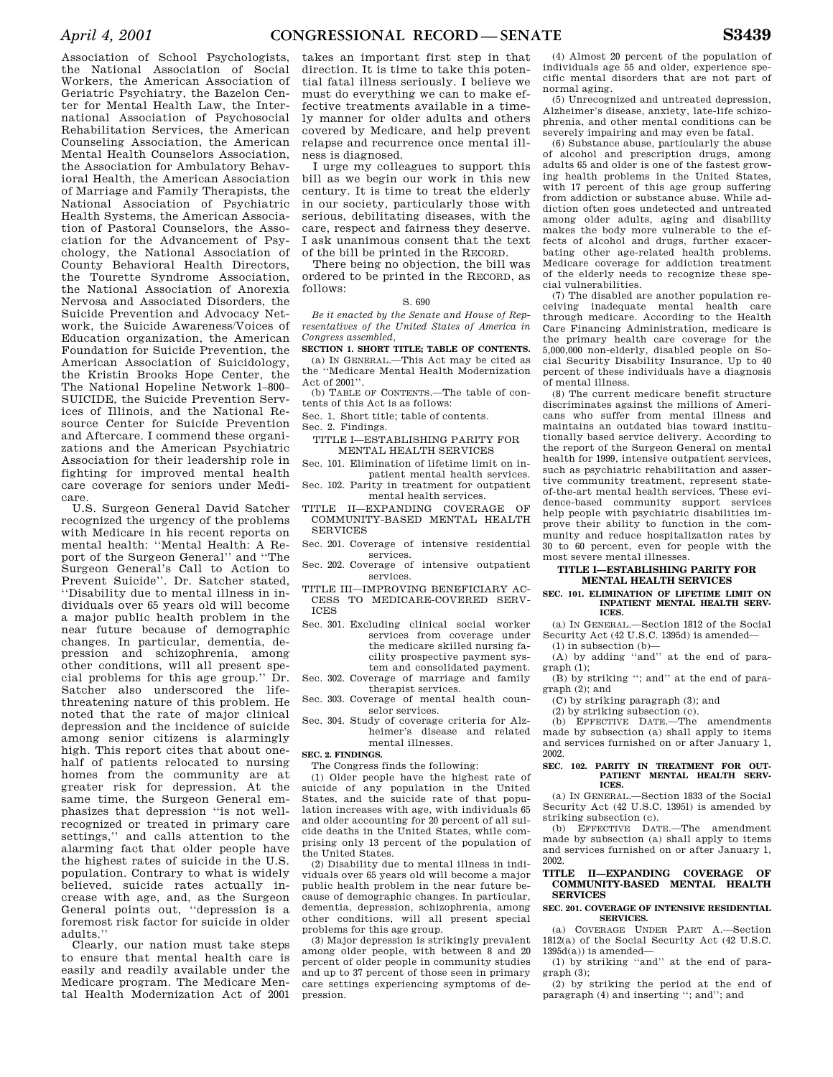Association of School Psychologists, the National Association of Social Workers, the American Association of Geriatric Psychiatry, the Bazelon Center for Mental Health Law, the International Association of Psychosocial Rehabilitation Services, the American Counseling Association, the American Mental Health Counselors Association, the Association for Ambulatory Behavioral Health, the American Association of Marriage and Family Therapists, the National Association of Psychiatric Health Systems, the American Association of Pastoral Counselors, the Association for the Advancement of Psychology, the National Association of County Behavioral Health Directors, the Tourette Syndrome Association, the National Association of Anorexia Nervosa and Associated Disorders, the Suicide Prevention and Advocacy Network, the Suicide Awareness/Voices of Education organization, the American Foundation for Suicide Prevention, the American Association of Suicidology, the Kristin Brooks Hope Center, the The National Hopeline Network 1–800– SUICIDE, the Suicide Prevention Services of Illinois, and the National Resource Center for Suicide Prevention and Aftercare. I commend these organizations and the American Psychiatric Association for their leadership role in fighting for improved mental health care coverage for seniors under Medicare.

U.S. Surgeon General David Satcher recognized the urgency of the problems with Medicare in his recent reports on mental health: ''Mental Health: A Report of the Surgeon General'' and ''The Surgeon General's Call to Action to Prevent Suicide''. Dr. Satcher stated, ''Disability due to mental illness in individuals over 65 years old will become a major public health problem in the near future because of demographic changes. In particular, dementia, depression and schizophrenia, among other conditions, will all present special problems for this age group.'' Dr. Satcher also underscored the lifethreatening nature of this problem. He noted that the rate of major clinical depression and the incidence of suicide among senior citizens is alarmingly high. This report cites that about onehalf of patients relocated to nursing homes from the community are at greater risk for depression. At the same time, the Surgeon General emphasizes that depression ''is not wellrecognized or treated in primary care settings,'' and calls attention to the alarming fact that older people have the highest rates of suicide in the U.S. population. Contrary to what is widely believed, suicide rates actually increase with age, and, as the Surgeon General points out, ''depression is a foremost risk factor for suicide in older adults.''

Clearly, our nation must take steps to ensure that mental health care is easily and readily available under the Medicare program. The Medicare Mental Health Modernization Act of 2001

takes an important first step in that direction. It is time to take this potential fatal illness seriously. I believe we must do everything we can to make effective treatments available in a timely manner for older adults and others covered by Medicare, and help prevent relapse and recurrence once mental illness is diagnosed.

I urge my colleagues to support this bill as we begin our work in this new century. It is time to treat the elderly in our society, particularly those with serious, debilitating diseases, with the care, respect and fairness they deserve. I ask unanimous consent that the text of the bill be printed in the RECORD.

There being no objection, the bill was ordered to be printed in the RECORD, as follows:

#### S. 690

*Be it enacted by the Senate and House of Representatives of the United States of America in Congress assembled,* 

**SECTION 1. SHORT TITLE; TABLE OF CONTENTS.**  (a) IN GENERAL.—This Act may be cited as the ''Medicare Mental Health Modernization

Act of 2001''. (b) TABLE OF CONTENTS.—The table of con-

tents of this Act is as follows:

Sec. 1. Short title; table of contents.

Sec. 2. Findings.

TITLE I—ESTABLISHING PARITY FOR MENTAL HEALTH SERVICES

Sec. 101. Elimination of lifetime limit on inpatient mental health services.

Sec. 102. Parity in treatment for outpatient mental health services.

TITLE II—EXPANDING COVERAGE OF COMMUNITY-BASED MENTAL HEALTH SERVICES

Sec. 201. Coverage of intensive residential services.

Sec. 202. Coverage of intensive outpatient services.

TITLE III—IMPROVING BENEFICIARY AC-CESS TO MEDICARE-COVERED SERV-ICES

Sec. 301. Excluding clinical social worker services from coverage under the medicare skilled nursing facility prospective payment system and consolidated payment.

Sec. 302. Coverage of marriage and family therapist services.

Sec. 303. Coverage of mental health counselor services.

Sec. 304. Study of coverage criteria for Alzheimer's disease and related mental illnesses.

### **SEC. 2. FINDINGS.**

The Congress finds the following:

(1) Older people have the highest rate of suicide of any population in the United States, and the suicide rate of that population increases with age, with individuals 65 and older accounting for 20 percent of all suicide deaths in the United States, while comprising only 13 percent of the population of the United States.

(2) Disability due to mental illness in individuals over 65 years old will become a major public health problem in the near future because of demographic changes. In particular, dementia, depression, schizophrenia, among other conditions, will all present special problems for this age group.

(3) Major depression is strikingly prevalent among older people, with between 8 and 20 percent of older people in community studies and up to 37 percent of those seen in primary care settings experiencing symptoms of depression.

(4) Almost 20 percent of the population of individuals age 55 and older, experience specific mental disorders that are not part of normal aging.

(5) Unrecognized and untreated depression, Alzheimer's disease, anxiety, late-life schizophrenia, and other mental conditions can be severely impairing and may even be fatal.

(6) Substance abuse, particularly the abuse of alcohol and prescription drugs, among adults 65 and older is one of the fastest growing health problems in the United States, with 17 percent of this age group suffering from addiction or substance abuse. While addiction often goes undetected and untreated among older adults, aging and disability makes the body more vulnerable to the effects of alcohol and drugs, further exacerbating other age-related health problems. Medicare coverage for addiction treatment of the elderly needs to recognize these special vulnerabilities.

(7) The disabled are another population receiving inadequate mental health care through medicare. According to the Health Care Financing Administration, medicare is the primary health care coverage for the 5,000,000 non-elderly, disabled people on Social Security Disability Insurance. Up to 40 percent of these individuals have a diagnosis of mental illness.

(8) The current medicare benefit structure discriminates against the millions of Americans who suffer from mental illness and maintains an outdated bias toward institutionally based service delivery. According to the report of the Surgeon General on mental health for 1999, intensive outpatient services, such as psychiatric rehabilitation and assertive community treatment, represent stateof-the-art mental health services. These evidence-based community support services help people with psychiatric disabilities improve their ability to function in the community and reduce hospitalization rates by 30 to 60 percent, even for people with the most severe mental illnesses.

### **TITLE I—ESTABLISHING PARITY FOR MENTAL HEALTH SERVICES**

**SEC. 101. ELIMINATION OF LIFETIME LIMIT ON INPATIENT MENTAL HEALTH SERV-ICES.** 

(a) IN GENERAL.—Section 1812 of the Social Security Act (42 U.S.C. 1395d) is amended— (1) in subsection (b)—

(A) by adding ''and'' at the end of paragraph (1);

(B) by striking ''; and'' at the end of paragraph (2); and

(C) by striking paragraph (3); and

(2) by striking subsection (c).

(b) EFFECTIVE DATE.—The amendments made by subsection (a) shall apply to items and services furnished on or after January 1, 2002.

#### **SEC. 102. PARITY IN TREATMENT FOR OUT-PATIENT MENTAL HEALTH SERV-ICES.**

(a) IN GENERAL.—Section 1833 of the Social Security Act (42 U.S.C. 1395l) is amended by striking subsection (c).

(b) EFFECTIVE DATE.—The amendment made by subsection (a) shall apply to items and services furnished on or after January 1, 2002.

### **TITLE II—EXPANDING COVERAGE OF COMMUNITY-BASED MENTAL HEALTH SERVICES**

#### **SEC. 201. COVERAGE OF INTENSIVE RESIDENTIAL SERVICES.**

(a) COVERAGE UNDER PART A.—Section 1812(a) of the Social Security Act (42 U.S.C.  $1395d(a)$ ) is amended—

(1) by striking ''and'' at the end of paragraph (3);

(2) by striking the period at the end of paragraph (4) and inserting ''; and''; and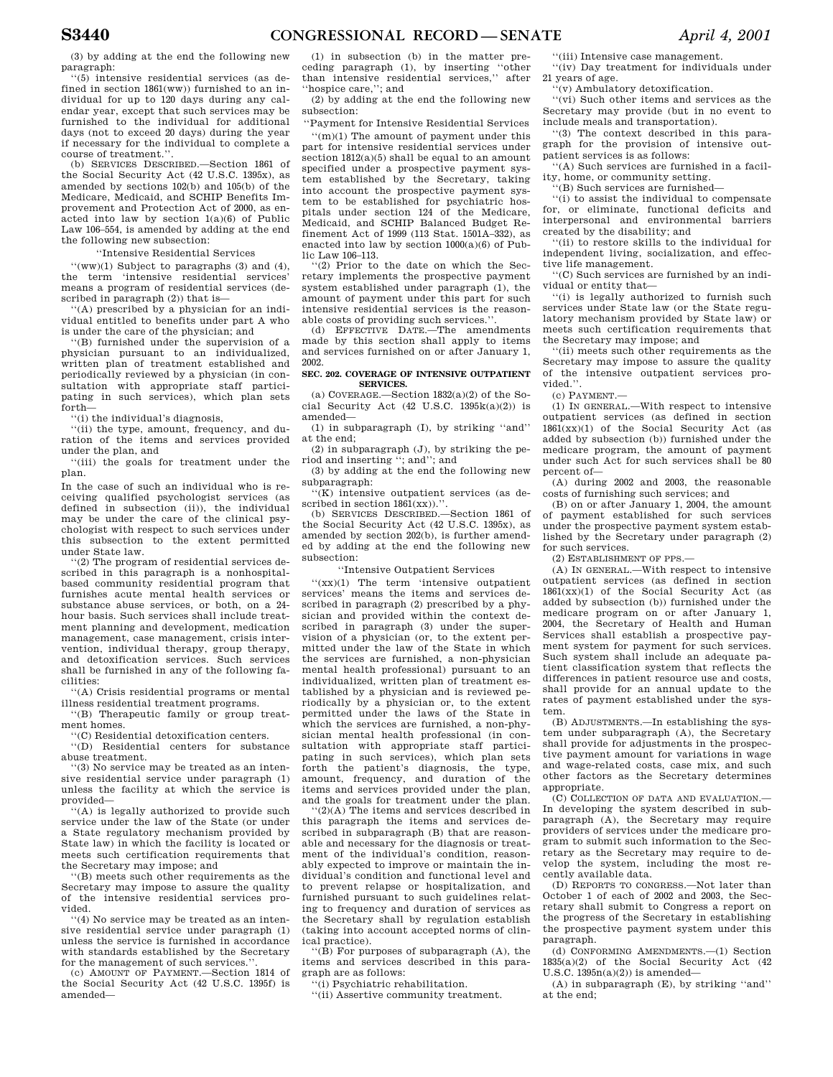(3) by adding at the end the following new paragraph:

''(5) intensive residential services (as defined in section 1861(ww)) furnished to an individual for up to 120 days during any calendar year, except that such services may be furnished to the individual for additional days (not to exceed 20 days) during the year if necessary for the individual to complete a course of treatment.''.

(b) SERVICES DESCRIBED.—Section 1861 of the Social Security Act (42 U.S.C. 1395x), as amended by sections 102(b) and 105(b) of the Medicare, Medicaid, and SCHIP Benefits Improvement and Protection Act of 2000, as enacted into law by section 1(a)(6) of Public Law 106–554, is amended by adding at the end the following new subsection:

### ''Intensive Residential Services

 $\lq\lq$ (ww)(1) Subject to paragraphs (3) and (4), the term 'intensive residential services' means a program of residential services (described in paragraph (2)) that is—

'(A) prescribed by a physician for an individual entitled to benefits under part A who is under the care of the physician; and

''(B) furnished under the supervision of a physician pursuant to an individualized, written plan of treatment established and periodically reviewed by a physician (in consultation with appropriate staff participating in such services), which plan sets forth—

''(i) the individual's diagnosis,

''(ii) the type, amount, frequency, and duration of the items and services provided under the plan, and

''(iii) the goals for treatment under the plan.

In the case of such an individual who is receiving qualified psychologist services (as defined in subsection (ii)), the individual may be under the care of the clinical psychologist with respect to such services under this subsection to the extent permitted under State law.

''(2) The program of residential services described in this paragraph is a nonhospitalbased community residential program that furnishes acute mental health services or substance abuse services, or both, on a 24 hour basis. Such services shall include treatment planning and development, medication management, case management, crisis intervention, individual therapy, group therapy, and detoxification services. Such services shall be furnished in any of the following facilities:

''(A) Crisis residential programs or mental illness residential treatment programs.

''(B) Therapeutic family or group treatment homes.

''(C) Residential detoxification centers.

''(D) Residential centers for substance abuse treatment.

''(3) No service may be treated as an intensive residential service under paragraph (1) unless the facility at which the service is provided—

''(A) is legally authorized to provide such service under the law of the State (or under a State regulatory mechanism provided by State law) in which the facility is located or meets such certification requirements that the Secretary may impose; and

''(B) meets such other requirements as the Secretary may impose to assure the quality of the intensive residential services provided.

'(4) No service may be treated as an intensive residential service under paragraph (1) unless the service is furnished in accordance with standards established by the Secretary for the management of such services.'

(c) AMOUNT OF PAYMENT.—Section 1814 of the Social Security Act (42 U.S.C. 1395f) is amended—

(1) in subsection (b) in the matter preceding paragraph (1), by inserting ''other than intensive residential services,'' after ''hospice care,''; and

(2) by adding at the end the following new subsection:

''Payment for Intensive Residential Services

''(m)(1) The amount of payment under this part for intensive residential services under section  $1812(a)(5)$  shall be equal to an amount specified under a prospective payment system established by the Secretary, taking into account the prospective payment system to be established for psychiatric hospitals under section 124 of the Medicare, Medicaid, and SCHIP Balanced Budget Refinement Act of 1999 (113 Stat. 1501A–332), as enacted into law by section  $1000(a)(6)$  of Public Law 106–113.

''(2) Prior to the date on which the Secretary implements the prospective payment system established under paragraph (1), the amount of payment under this part for such intensive residential services is the reasonable costs of providing such services.

(d) EFFECTIVE DATE.—The amendments made by this section shall apply to items and services furnished on or after January 1, 2002.

### **SEC. 202. COVERAGE OF INTENSIVE OUTPATIENT SERVICES.**

(a) COVERAGE.—Section  $1832(a)(2)$  of the Social Security Act  $(42 \text{ U.S.C. } 1395\text{k}(a)(2))$  is amended—

(1) in subparagraph (I), by striking ''and'' at the end;

(2) in subparagraph (J), by striking the period and inserting ''; and''; and

(3) by adding at the end the following new subparagraph:

''(K) intensive outpatient services (as described in section  $1861(xx)$ .".

(b) SERVICES DESCRIBED.—Section 1861 of the Social Security Act (42 U.S.C. 1395x), as amended by section 202(b), is further amended by adding at the end the following new subsection:

''Intensive Outpatient Services

 $f(xx)(1)$  The term 'intensive outpatient services' means the items and services described in paragraph (2) prescribed by a physician and provided within the context described in paragraph (3) under the supervision of a physician (or, to the extent permitted under the law of the State in which the services are furnished, a non-physician mental health professional) pursuant to an individualized, written plan of treatment established by a physician and is reviewed periodically by a physician or, to the extent permitted under the laws of the State in which the services are furnished, a non-physician mental health professional (in consultation with appropriate staff participating in such services), which plan sets forth the patient's diagnosis, the type, amount, frequency, and duration of the items and services provided under the plan, and the goals for treatment under the plan.

''(2)(A) The items and services described in this paragraph the items and services described in subparagraph (B) that are reasonable and necessary for the diagnosis or treatment of the individual's condition, reasonably expected to improve or maintain the individual's condition and functional level and to prevent relapse or hospitalization, and furnished pursuant to such guidelines relating to frequency and duration of services as the Secretary shall by regulation establish (taking into account accepted norms of clinical practice).

''(B) For purposes of subparagraph (A), the items and services described in this paragraph are as follows:

''(i) Psychiatric rehabilitation.

''(ii) Assertive community treatment.

''(iii) Intensive case management.

''(iv) Day treatment for individuals under 21 years of age.

''(v) Ambulatory detoxification.

''(vi) Such other items and services as the Secretary may provide (but in no event to include meals and transportation).

''(3) The context described in this paragraph for the provision of intensive outpatient services is as follows:

'(A) Such services are furnished in a facility, home, or community setting.

''(B) Such services are furnished—

''(i) to assist the individual to compensate for, or eliminate, functional deficits and interpersonal and environmental barriers created by the disability; and

''(ii) to restore skills to the individual for independent living, socialization, and effective life management.

''(C) Such services are furnished by an individual or entity that—

''(i) is legally authorized to furnish such services under State law (or the State regulatory mechanism provided by State law) or meets such certification requirements that the Secretary may impose; and

''(ii) meets such other requirements as the Secretary may impose to assure the quality of the intensive outpatient services provided.''.

(c) PAYMENT.—

(1) IN GENERAL.—With respect to intensive outpatient services (as defined in section  $1861(xx)(1)$  of the Social Security Act (as added by subsection (b)) furnished under the medicare program, the amount of payment under such Act for such services shall be 80 percent of—

(A) during 2002 and 2003, the reasonable costs of furnishing such services; and

(B) on or after January 1, 2004, the amount of payment established for such services under the prospective payment system established by the Secretary under paragraph (2) for such services.

(2) ESTABLISHMENT OF PPS.—

(A) IN GENERAL.—With respect to intensive outpatient services (as defined in section 1861(xx)(1) of the Social Security Act (as added by subsection (b)) furnished under the medicare program on or after January 1, 2004, the Secretary of Health and Human Services shall establish a prospective payment system for payment for such services. Such system shall include an adequate patient classification system that reflects the differences in patient resource use and costs, shall provide for an annual update to the rates of payment established under the system.

(B) ADJUSTMENTS.—In establishing the system under subparagraph (A), the Secretary shall provide for adjustments in the prospective payment amount for variations in wage and wage-related costs, case mix, and such other factors as the Secretary determines appropriate.

(C) COLLECTION OF DATA AND EVALUATION.— In developing the system described in subparagraph (A), the Secretary may require providers of services under the medicare program to submit such information to the Secretary as the Secretary may require to develop the system, including the most recently available data.

(D) REPORTS TO CONGRESS.—Not later than October 1 of each of 2002 and 2003, the Secretary shall submit to Congress a report on the progress of the Secretary in establishing the prospective payment system under this paragraph.

(d) CONFORMING AMENDMENTS.—(1) Section 1835(a)(2) of the Social Security Act (42 U.S.C.  $1395n(a)(2)$  is amended—

(A) in subparagraph (E), by striking ''and'' at the end;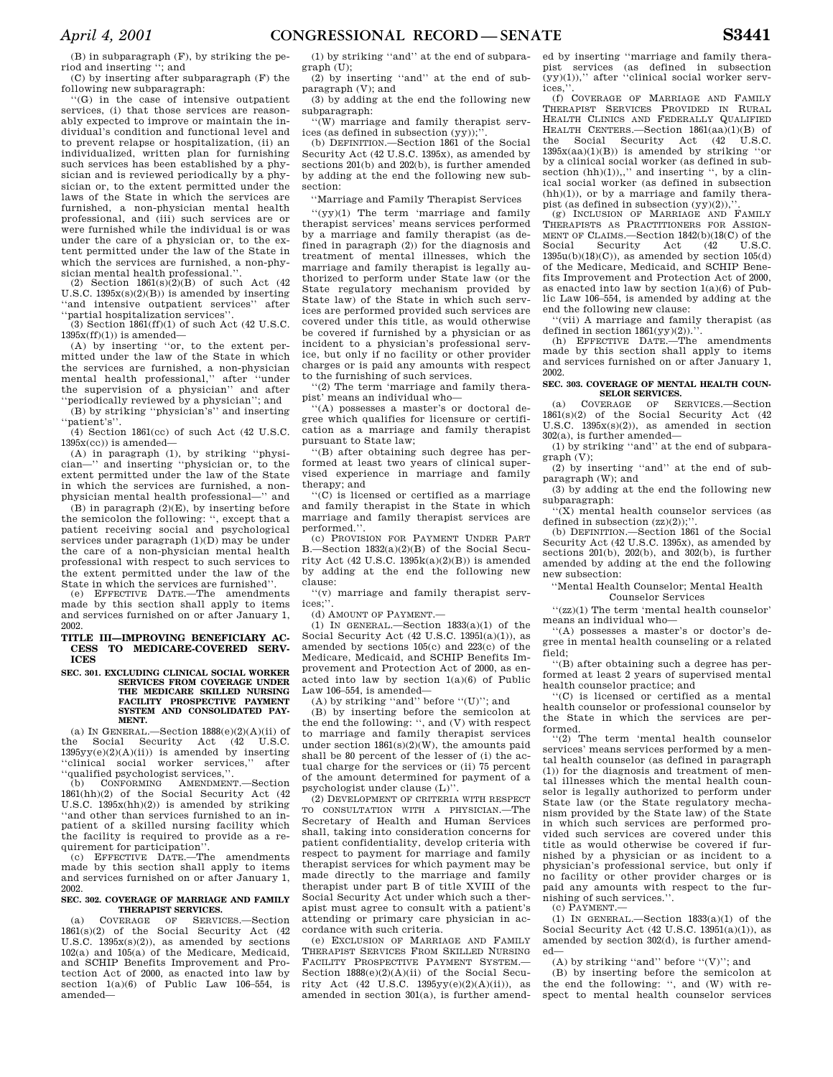(B) in subparagraph (F), by striking the period and inserting ''; and

(C) by inserting after subparagraph (F) the following new subparagraph:

''(G) in the case of intensive outpatient services, (i) that those services are reasonably expected to improve or maintain the individual's condition and functional level and to prevent relapse or hospitalization, (ii) an individualized, written plan for furnishing such services has been established by a physician and is reviewed periodically by a physician or, to the extent permitted under the laws of the State in which the services are furnished, a non-physician mental health professional, and (iii) such services are or were furnished while the individual is or was under the care of a physician or, to the extent permitted under the law of the State in which the services are furnished, a non-physician mental health professional.'

(2) Section  $1861(s)(2)(B)$  of such Act (42) U.S.C.  $1395x(s)(2)(B)$ ) is amended by inserting ''and intensive outpatient services'' after ''partial hospitalization services''.

(3) Section 1861(ff)(1) of such Act (42 U.S.C.  $1395x(ff)(1)$ ) is amended—

(A) by inserting ''or, to the extent permitted under the law of the State in which the services are furnished, a non-physician mental health professional,'' after ''under the supervision of a physician'' and after ''periodically reviewed by a physician''; and

(B) by striking ''physician's'' and inserting ''patient's''.

 $(4)$  Section 1861(cc) of such Act (42 U.S.C.  $1395x(cc)$ ) is amended—

(A) in paragraph (1), by striking ''physician—'' and inserting ''physician or, to the extent permitted under the law of the State in which the services are furnished, a nonphysician mental health professional—'' and

(B) in paragraph  $(2)(E)$ , by inserting before the semicolon the following: '', except that a patient receiving social and psychological services under paragraph (1)(D) may be under the care of a non-physician mental health professional with respect to such services to the extent permitted under the law of the State in which the services are furnished''.

(e) EFFECTIVE DATE.—The amendments made by this section shall apply to items and services furnished on or after January 1, 2002.

**TITLE III—IMPROVING BENEFICIARY AC-CESS TO MEDICARE-COVERED SERV-ICES** 

#### **SEC. 301. EXCLUDING CLINICAL SOCIAL WORKER SERVICES FROM COVERAGE UNDER THE MEDICARE SKILLED NURSING FACILITY PROSPECTIVE PAYMENT SYSTEM AND CONSOLIDATED PAY-MENT.**

(a) IN GENERAL.—Section  $1888(e)(2)(A)(ii)$  of the Social Security Act (42 U.S.C.  $1395yy(e)(2)(A)(ii)$ ) is amended by inserting ''clinical social worker services,'' after ''qualified psychologist services,''.

(b) CONFORMING AMENDMENT.—Section 1861(hh)(2) of the Social Security Act (42 U.S.C.  $1395x(hh)(2)$  is amended by striking ''and other than services furnished to an inpatient of a skilled nursing facility which the facility is required to provide as a requirement for participation''.

(c) EFFECTIVE DATE.—The amendments made by this section shall apply to items and services furnished on or after January 1, 2002.

### **SEC. 302. COVERAGE OF MARRIAGE AND FAMILY THERAPIST SERVICES.**

(a) COVERAGE OF SERVICES.—Section 1861(s)(2) of the Social Security Act (42 U.S.C.  $1395x(s)(2)$ , as amended by sections 102(a) and 105(a) of the Medicare, Medicaid, and SCHIP Benefits Improvement and Protection Act of 2000, as enacted into law by section  $1(a)(6)$  of Public Law  $106-554$ , is amended—

(1) by striking ''and'' at the end of subparagraph (U);

(2) by inserting ''and'' at the end of subparagraph (V); and (3) by adding at the end the following new

subparagraph:

''(W) marriage and family therapist services (as defined in subsection (yy));'

(b) DEFINITION.—Section 1861 of the Social Security Act (42 U.S.C. 1395x), as amended by sections 201(b) and 202(b), is further amended by adding at the end the following new subsection:

''Marriage and Family Therapist Services

''(yy)(1) The term 'marriage and family therapist services' means services performed by a marriage and family therapist (as defined in paragraph (2)) for the diagnosis and treatment of mental illnesses, which the marriage and family therapist is legally authorized to perform under State law (or the State regulatory mechanism provided by State law) of the State in which such services are performed provided such services are covered under this title, as would otherwise be covered if furnished by a physician or as incident to a physician's professional service, but only if no facility or other provider charges or is paid any amounts with respect to the furnishing of such services.

''(2) The term 'marriage and family therapist' means an individual who—

''(A) possesses a master's or doctoral degree which qualifies for licensure or certification as a marriage and family therapist pursuant to State law;

''(B) after obtaining such degree has performed at least two years of clinical supervised experience in marriage and family therapy; and

''(C) is licensed or certified as a marriage and family therapist in the State in which marriage and family therapist services are performed.''.

(c) PROVISION FOR PAYMENT UNDER PART B.—Section 1832(a)(2)(B) of the Social Security Act (42 U.S.C. 1395k(a)(2)(B)) is amended by adding at the end the following new clause:

''(v) marriage and family therapist services;''.

(d) AMOUNT OF PAYMENT.—

(1) IN GENERAL.—Section  $1833(a)(1)$  of the Social Security Act  $(42 \text{ U.S.C. } 1395l(a)(1))$ , as amended by sections 105(c) and 223(c) of the Medicare, Medicaid, and SCHIP Benefits Improvement and Protection Act of 2000, as enacted into law by section 1(a)(6) of Public Law 106–554, is amended—

(A) by striking ''and'' before ''(U)''; and

(B) by inserting before the semicolon at the end the following: '', and (V) with respect to marriage and family therapist services under section 1861(s)(2)(W), the amounts paid shall be 80 percent of the lesser of (i) the actual charge for the services or (ii) 75 percent of the amount determined for payment of a psychologist under clause (L)''.

(2) DEVELOPMENT OF CRITERIA WITH RESPECT TO CONSULTATION WITH A PHYSICIAN.—The Secretary of Health and Human Services shall, taking into consideration concerns for patient confidentiality, develop criteria with respect to payment for marriage and family therapist services for which payment may be made directly to the marriage and family therapist under part B of title XVIII of the Social Security Act under which such a therapist must agree to consult with a patient's attending or primary care physician in accordance with such criteria.

(e) EXCLUSION OF MARRIAGE AND FAMILY THERAPIST SERVICES FROM SKILLED NURSING FACILITY PROSPECTIVE PAYMENT SYSTEM.— Section 1888(e)(2)(A)(ii) of the Social Security Act (42 U.S.C.  $1395yy(e)(2)(A)(ii)$ ), as amended in section 301(a), is further amend-

ed by inserting ''marriage and family therapist services (as defined in subsection (yy)(1)),'' after ''clinical social worker services.

(f) COVERAGE OF MARRIAGE AND FAMILY THERAPIST SERVICES PROVIDED IN RURAL HEALTH CLINICS AND FEDERALLY QUALIFIED HEALTH CENTERS.—Section  $1861(aa)(1)(B)$  of<br>the Social Security Act (42 USC) the Social Security Act  $(42)$  $1395x(aa)(1)(B)$  is amended by striking "or by a clinical social worker (as defined in subsection  $(hh)(1)$ ,," and inserting ", by a clinical social worker (as defined in subsection (hh)(1)), or by a marriage and family therapist (as defined in subsection  $(yy)(2)$ ),

(g) INCLUSION OF MARRIAGE AND FAMILY THERAPISTS AS PRACTITIONERS FOR ASSIGN-MENT OF CLAIMS.—Section  $1842(b)(18(C))$  of the<br>Social Security Act (42 II S.C. Social Security Act (42 U.S.C.  $1395u(b)(18)(C)$ , as amended by section  $105(d)$ of the Medicare, Medicaid, and SCHIP Benefits Improvement and Protection Act of 2000, as enacted into law by section 1(a)(6) of Public Law 106–554, is amended by adding at the end the following new clause:

''(vii) A marriage and family therapist (as defined in section  $1861(yy)(2)$ .

(h) EFFECTIVE DATE.—The amendments made by this section shall apply to items and services furnished on or after January 1, 2002.

#### **SEC. 303. COVERAGE OF MENTAL HEALTH COUN-SELOR SERVICES.**

(a) COVERAGE OF SERVICES.—Section 1861(s)(2) of the Social Security Act (42 U.S.C. 1395x(s)(2)), as amended in section 302(a), is further amended—

(1) by striking ''and'' at the end of subparagraph (V);

(2) by inserting ''and'' at the end of subparagraph (W); and

(3) by adding at the end the following new subparagraph:

''(X) mental health counselor services (as defined in subsection  $(zz)(2)$ );

(b) DEFINITION.—Section 1861 of the Social Security Act (42 U.S.C. 1395x), as amended by sections 201(b), 202(b), and 302(b), is further amended by adding at the end the following new subsection:

''Mental Health Counselor; Mental Health Counselor Services

''(zz)(1) The term 'mental health counselor' means an individual who—

''(A) possesses a master's or doctor's deree in mental health counseling or a related field;

''(B) after obtaining such a degree has performed at least 2 years of supervised mental health counselor practice; and

''(C) is licensed or certified as a mental health counselor or professional counselor by the State in which the services are performed.

''(2) The term 'mental health counselor services' means services performed by a mental health counselor (as defined in paragraph (1)) for the diagnosis and treatment of mental illnesses which the mental health counselor is legally authorized to perform under State law (or the State regulatory mechanism provided by the State law) of the State in which such services are performed provided such services are covered under this title as would otherwise be covered if furnished by a physician or as incident to a physician's professional service, but only if no facility or other provider charges or is paid any amounts with respect to the furnishing of such services.''.

(c) PAYMENT.—

 $(1)$  IN GENERAL.—Section  $1833(a)(1)$  of the Social Security Act (42 U.S.C. 13951(a)(1)), as amended by section 302(d), is further amended-

(A) by striking ''and'' before ''(V)''; and

(B) by inserting before the semicolon at the end the following: '', and (W) with respect to mental health counselor services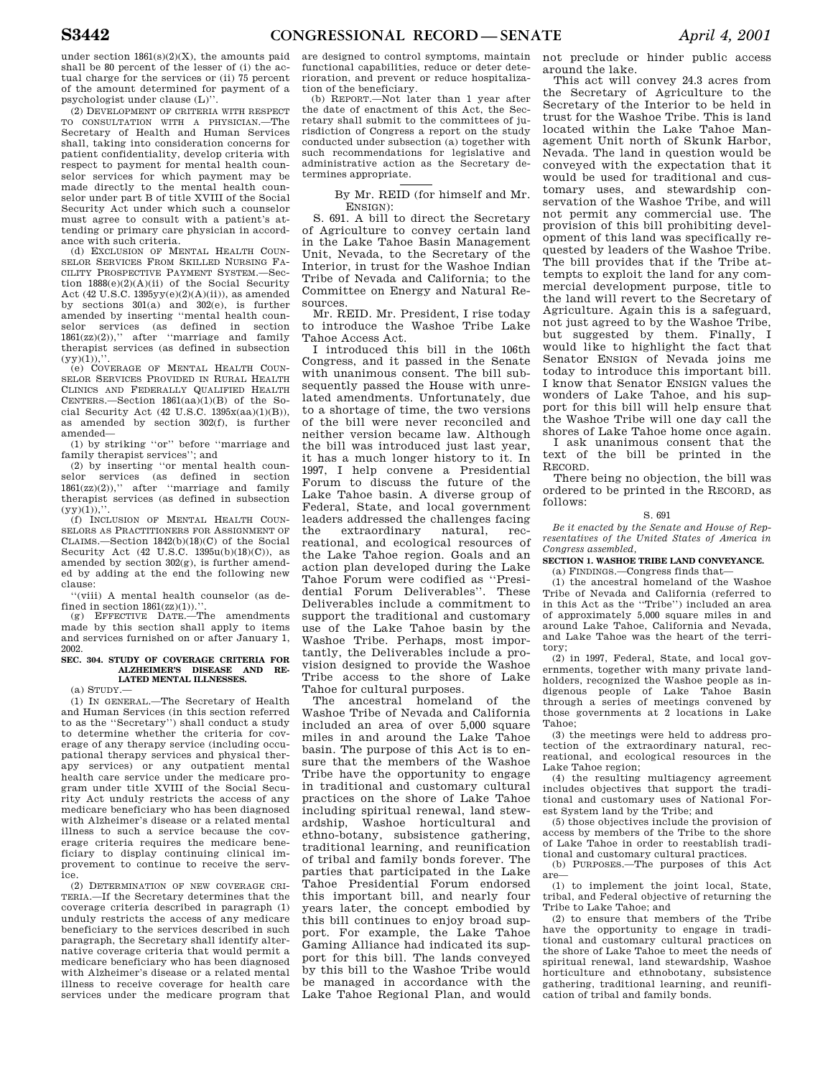under section  $1861(s)(2)(X)$ , the amounts paid shall be 80 percent of the lesser of (i) the actual charge for the services or (ii) 75 percent of the amount determined for payment of a psychologist under clause (L)''.

(2) DEVELOPMENT OF CRITERIA WITH RESPECT TO CONSULTATION WITH A PHYSICIAN.—The Secretary of Health and Human Services shall, taking into consideration concerns for patient confidentiality, develop criteria with respect to payment for mental health counselor services for which payment may be made directly to the mental health counselor under part B of title XVIII of the Social Security Act under which such a counselor must agree to consult with a patient's attending or primary care physician in accordance with such criteria.

(d) EXCLUSION OF MENTAL HEALTH COUN-SELOR SERVICES FROM SKILLED NURSING FA-CILITY PROSPECTIVE PAYMENT SYSTEM.—Section 1888(e)(2)(A)(ii) of the Social Security Act (42 U.S.C.  $1395yy(e)(2)(A)(ii)$ ), as amended by sections  $301(a)$  and  $302(e)$ , is further amended by inserting ''mental health counselor services (as defined in section 1861(zz)(2)),'' after ''marriage and family therapist services (as defined in subsection  $(yy)(1)),$ ".

(e) COVERAGE OF MENTAL HEALTH COUN-SELOR SERVICES PROVIDED IN RURAL HEALTH CLINICS AND FEDERALLY QUALIFIED HEALTH CENTERS.—Section 1861(aa)(1)(B) of the Social Security Act (42 U.S.C. 1395x(aa)(1)(B)), as amended by section 302(f), is further amended—

(1) by striking ''or'' before ''marriage and family therapist services''; and

(2) by inserting ''or mental health counselor services (as defined in section 1861(zz)(2)),'' after ''marriage and family therapist services (as defined in subsection  $(yy)(1)),$ 

(f) INCLUSION OF MENTAL HEALTH COUN-SELORS AS PRACTITIONERS FOR ASSIGNMENT OF CLAIMS.—Section 1842(b)(18)(C) of the Social Security Act (42 U.S.C. 1395u(b)(18)(C)), as amended by section 302(g), is further amended by adding at the end the following new clause:

''(viii) A mental health counselor (as defined in section  $1861(zz)(1)$ .''

(g) EFFECTIVE DATE.—The amendments made by this section shall apply to items and services furnished on or after January 1, 2002.

# **SEC. 304. STUDY OF COVERAGE CRITERIA FOR ALZHEIMER'S DISEASE AND RE-LATED MENTAL ILLNESSES.**

(a) STUDY.—

(1) IN GENERAL.—The Secretary of Health and Human Services (in this section referred to as the ''Secretary'') shall conduct a study to determine whether the criteria for coverage of any therapy service (including occupational therapy services and physical therapy services) or any outpatient mental health care service under the medicare program under title XVIII of the Social Security Act unduly restricts the access of any medicare beneficiary who has been diagnosed with Alzheimer's disease or a related mental illness to such a service because the coverage criteria requires the medicare beneficiary to display continuing clinical improvement to continue to receive the service.

(2) DETERMINATION OF NEW COVERAGE CRI-TERIA.—If the Secretary determines that the coverage criteria described in paragraph (1) unduly restricts the access of any medicare beneficiary to the services described in such paragraph, the Secretary shall identify alternative coverage criteria that would permit a medicare beneficiary who has been diagnosed with Alzheimer's disease or a related mental illness to receive coverage for health care services under the medicare program that

are designed to control symptoms, maintain functional capabilities, reduce or deter deterioration, and prevent or reduce hospitalization of the beneficiary.

(b) REPORT.—Not later than 1 year after the date of enactment of this Act, the Secretary shall submit to the committees of jurisdiction of Congress a report on the study conducted under subsection (a) together with such recommendations for legislative and administrative action as the Secretary determines appropriate.

# By Mr. REID (for himself and Mr. ENSIGN):

S. 691. A bill to direct the Secretary of Agriculture to convey certain land in the Lake Tahoe Basin Management Unit, Nevada, to the Secretary of the Interior, in trust for the Washoe Indian Tribe of Nevada and California; to the Committee on Energy and Natural Resources.

Mr. REID. Mr. President, I rise today to introduce the Washoe Tribe Lake Tahoe Access Act.

I introduced this bill in the 106th Congress, and it passed in the Senate with unanimous consent. The bill subsequently passed the House with unrelated amendments. Unfortunately, due to a shortage of time, the two versions of the bill were never reconciled and neither version became law. Although the bill was introduced just last year, it has a much longer history to it. In 1997, I help convene a Presidential Forum to discuss the future of the Lake Tahoe basin. A diverse group of Federal, State, and local government leaders addressed the challenges facing the extraordinary natural, recreational, and ecological resources of the Lake Tahoe region. Goals and an action plan developed during the Lake Tahoe Forum were codified as ''Presidential Forum Deliverables''. These Deliverables include a commitment to support the traditional and customary use of the Lake Tahoe basin by the Washoe Tribe. Perhaps, most importantly, the Deliverables include a provision designed to provide the Washoe Tribe access to the shore of Lake Tahoe for cultural purposes.

The ancestral homeland of the Washoe Tribe of Nevada and California included an area of over 5,000 square miles in and around the Lake Tahoe basin. The purpose of this Act is to ensure that the members of the Washoe Tribe have the opportunity to engage in traditional and customary cultural practices on the shore of Lake Tahoe including spiritual renewal, land stewardship, Washoe horticultural and ethno-botany, subsistence gathering, traditional learning, and reunification of tribal and family bonds forever. The parties that participated in the Lake Tahoe Presidential Forum endorsed this important bill, and nearly four years later, the concept embodied by this bill continues to enjoy broad support. For example, the Lake Tahoe Gaming Alliance had indicated its support for this bill. The lands conveyed by this bill to the Washoe Tribe would be managed in accordance with the Lake Tahoe Regional Plan, and would

not preclude or hinder public access around the lake.

This act will convey 24.3 acres from the Secretary of Agriculture to the Secretary of the Interior to be held in trust for the Washoe Tribe. This is land located within the Lake Tahoe Management Unit north of Skunk Harbor, Nevada. The land in question would be conveyed with the expectation that it would be used for traditional and customary uses, and stewardship conservation of the Washoe Tribe, and will not permit any commercial use. The provision of this bill prohibiting development of this land was specifically requested by leaders of the Washoe Tribe. The bill provides that if the Tribe attempts to exploit the land for any commercial development purpose, title to the land will revert to the Secretary of Agriculture. Again this is a safeguard, not just agreed to by the Washoe Tribe, but suggested by them. Finally, I would like to highlight the fact that Senator ENSIGN of Nevada joins me today to introduce this important bill. I know that Senator ENSIGN values the wonders of Lake Tahoe, and his support for this bill will help ensure that the Washoe Tribe will one day call the shores of Lake Tahoe home once again.

I ask unanimous consent that the text of the bill be printed in the RECORD.

There being no objection, the bill was ordered to be printed in the RECORD, as follows:

#### S. 691

*Be it enacted by the Senate and House of Representatives of the United States of America in Congress assembled,* 

### **SECTION 1. WASHOE TRIBE LAND CONVEYANCE.**  (a) FINDINGS.—Congress finds that—

(1) the ancestral homeland of the Washoe Tribe of Nevada and California (referred to in this Act as the ''Tribe'') included an area of approximately 5,000 square miles in and around Lake Tahoe, California and Nevada, and Lake Tahoe was the heart of the territory;

 $(2)$  in 1997, Federal, State, and local governments, together with many private landholders, recognized the Washoe people as indigenous people of Lake Tahoe Basin through a series of meetings convened by those governments at 2 locations in Lake Tahoe;

(3) the meetings were held to address protection of the extraordinary natural, recreational, and ecological resources in the Lake Tahoe region;

(4) the resulting multiagency agreement includes objectives that support the traditional and customary uses of National Forest System land by the Tribe; and

(5) those objectives include the provision of access by members of the Tribe to the shore of Lake Tahoe in order to reestablish traditional and customary cultural practices.

(b) PURPOSES.—The purposes of this Act are—

(1) to implement the joint local, State, tribal, and Federal objective of returning the Tribe to Lake Tahoe; and

(2) to ensure that members of the Tribe have the opportunity to engage in traditional and customary cultural practices on the shore of Lake Tahoe to meet the needs of spiritual renewal, land stewardship, Washoe horticulture and ethnobotany, subsistence gathering, traditional learning, and reunification of tribal and family bonds.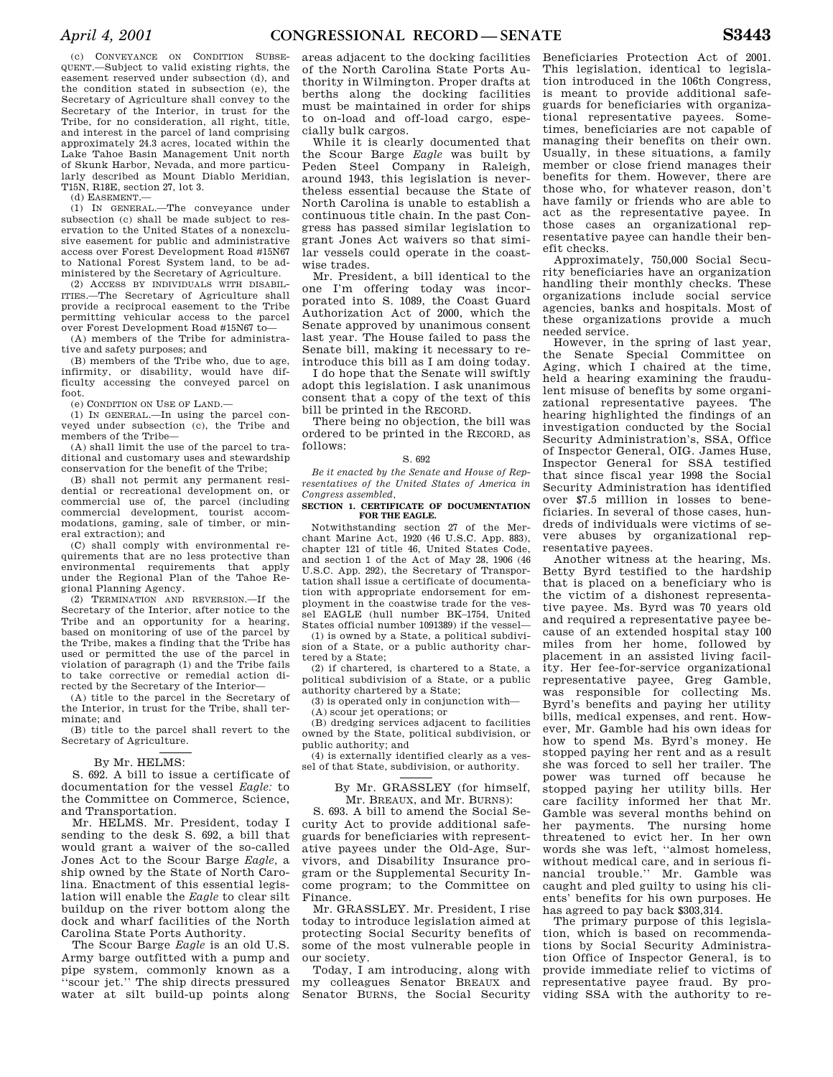(c) CONVEYANCE ON CONDITION SUBSE-QUENT.—Subject to valid existing rights, the easement reserved under subsection (d), and the condition stated in subsection (e), the Secretary of Agriculture shall convey to the Secretary of the Interior, in trust for the Tribe, for no consideration, all right, title, and interest in the parcel of land comprising approximately 24.3 acres, located within the Lake Tahoe Basin Management Unit north of Skunk Harbor, Nevada, and more particularly described as Mount Diablo Meridian, T15N, R18E, section 27, lot 3.

(d) EASEMENT.—

(1) IN GENERAL.—The conveyance under subsection (c) shall be made subject to reservation to the United States of a nonexclusive easement for public and administrative access over Forest Development Road #15N67 to National Forest System land, to be administered by the Secretary of Agriculture.

(2) ACCESS BY INDIVIDUALS WITH DISABIL-ITIES.—The Secretary of Agriculture shall provide a reciprocal easement to the Tribe permitting vehicular access to the parcel over Forest Development Road #15N67 to—

(A) members of the Tribe for administrative and safety purposes; and

(B) members of the Tribe who, due to age, infirmity, or disability, would have difficulty accessing the conveyed parcel on foot.

(e) CONDITION ON USE OF LAND.—

(1) IN GENERAL.—In using the parcel conveyed under subsection (c), the Tribe and members of the Tribe—

(A) shall limit the use of the parcel to traditional and customary uses and stewardship conservation for the benefit of the Tribe;

(B) shall not permit any permanent residential or recreational development on, or commercial use of, the parcel (including commercial development, tourist accommodations, gaming, sale of timber, or mineral extraction); and

(C) shall comply with environmental requirements that are no less protective than environmental requirements that apply under the Regional Plan of the Tahoe Regional Planning Agency.

(2) TERMINATION AND REVERSION.—If the Secretary of the Interior, after notice to the Tribe and an opportunity for a hearing, based on monitoring of use of the parcel by the Tribe, makes a finding that the Tribe has used or permitted the use of the parcel in violation of paragraph (1) and the Tribe fails to take corrective or remedial action directed by the Secretary of the Interior—

(A) title to the parcel in the Secretary of the Interior, in trust for the Tribe, shall terminate; and

(B) title to the parcel shall revert to the Secretary of Agriculture.

## By Mr. HELMS:

S. 692. A bill to issue a certificate of documentation for the vessel *Eagle:* to the Committee on Commerce, Science, and Transportation.

Mr. HELMS. Mr. President, today I sending to the desk S. 692, a bill that would grant a waiver of the so-called Jones Act to the Scour Barge *Eagle,* a ship owned by the State of North Carolina. Enactment of this essential legislation will enable the *Eagle* to clear silt buildup on the river bottom along the dock and wharf facilities of the North Carolina State Ports Authority.

The Scour Barge *Eagle* is an old U.S. Army barge outfitted with a pump and pipe system, commonly known as a ''scour jet.'' The ship directs pressured water at silt build-up points along

areas adjacent to the docking facilities of the North Carolina State Ports Authority in Wilmington. Proper drafts at berths along the docking facilities must be maintained in order for ships to on-load and off-load cargo, especially bulk cargos.

While it is clearly documented that the Scour Barge *Eagle* was built by Peden Steel Company in Raleigh, around 1943, this legislation is nevertheless essential because the State of North Carolina is unable to establish a continuous title chain. In the past Congress has passed similar legislation to grant Jones Act waivers so that similar vessels could operate in the coastwise trades.

Mr. President, a bill identical to the one I'm offering today was incorporated into S. 1089, the Coast Guard Authorization Act of 2000, which the Senate approved by unanimous consent last year. The House failed to pass the Senate bill, making it necessary to reintroduce this bill as I am doing today.

I do hope that the Senate will swiftly adopt this legislation. I ask unanimous consent that a copy of the text of this bill be printed in the RECORD.

There being no objection, the bill was ordered to be printed in the RECORD, as follows:

#### S. 692

*Be it enacted by the Senate and House of Representatives of the United States of America in Congress assembled,* 

### **SECTION 1. CERTIFICATE OF DOCUMENTATION FOR THE EAGLE.**

Notwithstanding section 27 of the Merchant Marine Act, 1920 (46 U.S.C. App. 883), chapter 121 of title 46, United States Code, and section 1 of the Act of May 28, 1906 (46 U.S.C. App. 292), the Secretary of Transportation shall issue a certificate of documentation with appropriate endorsement for employment in the coastwise trade for the vessel EAGLE (hull number BK–1754, United States official number 1091389) if the vessel—

(1) is owned by a State, a political subdivision of a State, or a public authority chartered by a State;

(2) if chartered, is chartered to a State, a political subdivision of a State, or a public authority chartered by a State;

(3) is operated only in conjunction with—

(A) scour jet operations; or

(B) dredging services adjacent to facilities owned by the State, political subdivision, or public authority; and

(4) is externally identified clearly as a vessel of that State, subdivision, or authority.

By Mr. GRASSLEY (for himself, Mr. BREAUX, and Mr. BURNS):

S. 693. A bill to amend the Social Security Act to provide additional safeguards for beneficiaries with representative payees under the Old-Age, Survivors, and Disability Insurance program or the Supplemental Security Income program; to the Committee on Finance.

Mr. GRASSLEY. Mr. President, I rise today to introduce legislation aimed at protecting Social Security benefits of some of the most vulnerable people in our society.

Today, I am introducing, along with my colleagues Senator BREAUX and Senator BURNS, the Social Security

Beneficiaries Protection Act of 2001. This legislation, identical to legislation introduced in the 106th Congress, is meant to provide additional safeguards for beneficiaries with organizational representative payees. Sometimes, beneficiaries are not capable of managing their benefits on their own. Usually, in these situations, a family member or close friend manages their benefits for them. However, there are those who, for whatever reason, don't have family or friends who are able to act as the representative payee. In those cases an organizational representative payee can handle their benefit checks.

Approximately, 750,000 Social Security beneficiaries have an organization handling their monthly checks. These organizations include social service agencies, banks and hospitals. Most of these organizations provide a much needed service.

However, in the spring of last year, the Senate Special Committee on Aging, which I chaired at the time, held a hearing examining the fraudulent misuse of benefits by some organizational representative payees. The hearing highlighted the findings of an investigation conducted by the Social Security Administration's, SSA, Office of Inspector General, OIG. James Huse, Inspector General for SSA testified that since fiscal year 1998 the Social Security Administration has identified over \$7.5 million in losses to beneficiaries. In several of those cases, hundreds of individuals were victims of severe abuses by organizational representative payees.

Another witness at the hearing, Ms. Betty Byrd testified to the hardship that is placed on a beneficiary who is the victim of a dishonest representative payee. Ms. Byrd was 70 years old and required a representative payee because of an extended hospital stay 100 miles from her home, followed by placement in an assisted living facility. Her fee-for-service organizational representative payee, Greg Gamble, was responsible for collecting Ms. Byrd's benefits and paying her utility bills, medical expenses, and rent. However, Mr. Gamble had his own ideas for how to spend Ms. Byrd's money. He stopped paying her rent and as a result she was forced to sell her trailer. The power was turned off because he stopped paying her utility bills. Her care facility informed her that Mr. Gamble was several months behind on her payments. The nursing home threatened to evict her. In her own words she was left, ''almost homeless, without medical care, and in serious financial trouble.'' Mr. Gamble was caught and pled guilty to using his clients' benefits for his own purposes. He has agreed to pay back \$303,314.

The primary purpose of this legislation, which is based on recommendations by Social Security Administration Office of Inspector General, is to provide immediate relief to victims of representative payee fraud. By providing SSA with the authority to re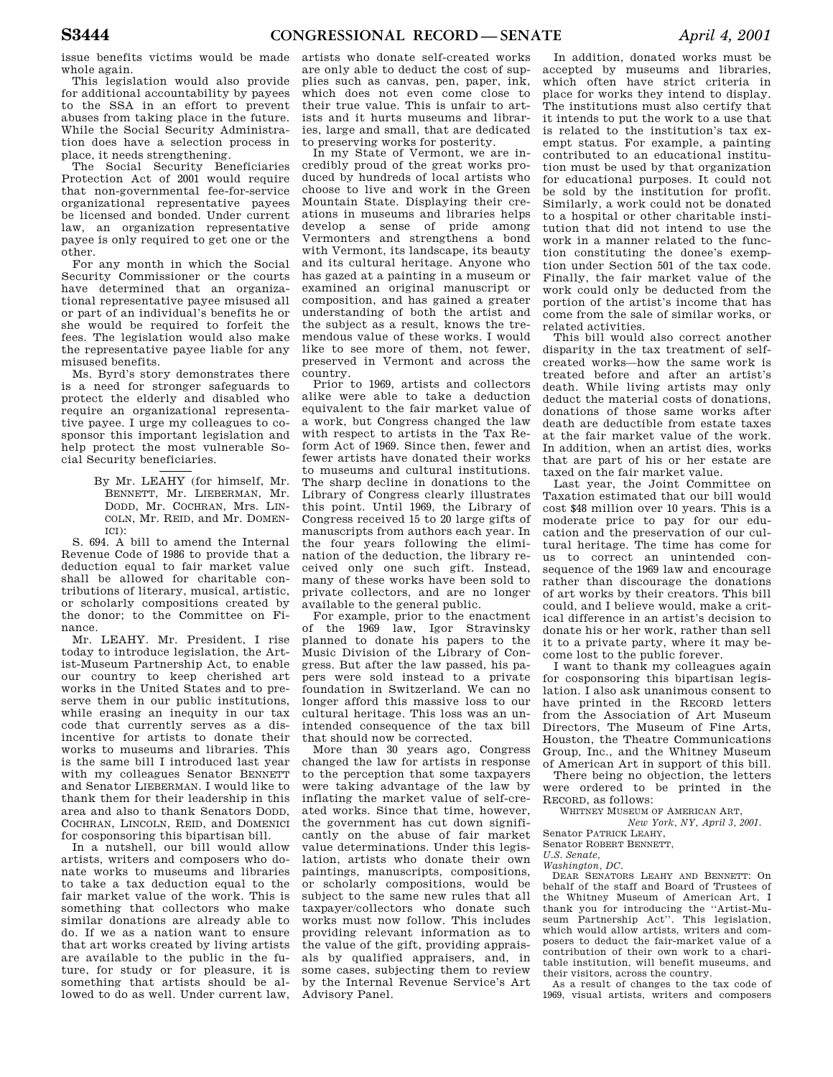issue benefits victims would be made whole again.

This legislation would also provide for additional accountability by payees to the SSA in an effort to prevent abuses from taking place in the future. While the Social Security Administration does have a selection process in place, it needs strengthening.

The Social Security Beneficiaries Protection Act of 2001 would require that non-governmental fee-for-service organizational representative payees be licensed and bonded. Under current law, an organization representative payee is only required to get one or the other.

For any month in which the Social Security Commissioner or the courts have determined that an organizational representative payee misused all or part of an individual's benefits he or she would be required to forfeit the fees. The legislation would also make the representative payee liable for any misused benefits.

Ms. Byrd's story demonstrates there is a need for stronger safeguards to protect the elderly and disabled who require an organizational representative payee. I urge my colleagues to cosponsor this important legislation and help protect the most vulnerable Social Security beneficiaries.

> By Mr. LEAHY (for himself, Mr. BENNETT, Mr. LIEBERMAN, Mr. DODD, Mr. COCHRAN, Mrs. LIN-COLN, Mr. REID, and Mr. DOMEN-ICI):

S. 694. A bill to amend the Internal Revenue Code of 1986 to provide that a deduction equal to fair market value shall be allowed for charitable contributions of literary, musical, artistic, or scholarly compositions created by the donor; to the Committee on Finance.

Mr. LEAHY. Mr. President, I rise today to introduce legislation, the Artist-Museum Partnership Act, to enable our country to keep cherished art works in the United States and to preserve them in our public institutions, while erasing an inequity in our tax code that currently serves as a disincentive for artists to donate their works to museums and libraries. This is the same bill I introduced last year with my colleagues Senator BENNETT and Senator LIEBERMAN. I would like to thank them for their leadership in this area and also to thank Senators DODD, COCHRAN, LINCOLN, REID, and DOMENICI for cosponsoring this bipartisan bill.

In a nutshell, our bill would allow artists, writers and composers who donate works to museums and libraries to take a tax deduction equal to the fair market value of the work. This is something that collectors who make similar donations are already able to do. If we as a nation want to ensure that art works created by living artists are available to the public in the future, for study or for pleasure, it is something that artists should be allowed to do as well. Under current law,

artists who donate self-created works are only able to deduct the cost of supplies such as canvas, pen, paper, ink, which does not even come close to their true value. This is unfair to artists and it hurts museums and libraries, large and small, that are dedicated to preserving works for posterity.

In my State of Vermont, we are incredibly proud of the great works produced by hundreds of local artists who choose to live and work in the Green Mountain State. Displaying their creations in museums and libraries helps develop a sense of pride among Vermonters and strengthens a bond with Vermont, its landscape, its beauty and its cultural heritage. Anyone who has gazed at a painting in a museum or examined an original manuscript or composition, and has gained a greater understanding of both the artist and the subject as a result, knows the tremendous value of these works. I would like to see more of them, not fewer, preserved in Vermont and across the country.

Prior to 1969, artists and collectors alike were able to take a deduction equivalent to the fair market value of a work, but Congress changed the law with respect to artists in the Tax Reform Act of 1969. Since then, fewer and fewer artists have donated their works to museums and cultural institutions. The sharp decline in donations to the Library of Congress clearly illustrates this point. Until 1969, the Library of Congress received 15 to 20 large gifts of manuscripts from authors each year. In the four years following the elimination of the deduction, the library received only one such gift. Instead, many of these works have been sold to private collectors, and are no longer available to the general public.

For example, prior to the enactment of the 1969 law, Igor Stravinsky planned to donate his papers to the Music Division of the Library of Congress. But after the law passed, his papers were sold instead to a private foundation in Switzerland. We can no longer afford this massive loss to our cultural heritage. This loss was an unintended consequence of the tax bill that should now be corrected.

More than 30 years ago, Congress changed the law for artists in response to the perception that some taxpayers were taking advantage of the law by inflating the market value of self-created works. Since that time, however, the government has cut down significantly on the abuse of fair market value determinations. Under this legislation, artists who donate their own paintings, manuscripts, compositions, or scholarly compositions, would be subject to the same new rules that all taxpayer/collectors who donate such works must now follow. This includes providing relevant information as to the value of the gift, providing appraisals by qualified appraisers, and, in some cases, subjecting them to review by the Internal Revenue Service's Art Advisory Panel.

In addition, donated works must be accepted by museums and libraries, which often have strict criteria in place for works they intend to display. The institutions must also certify that it intends to put the work to a use that is related to the institution's tax exempt status. For example, a painting contributed to an educational institution must be used by that organization for educational purposes. It could not be sold by the institution for profit. Similarly, a work could not be donated to a hospital or other charitable institution that did not intend to use the work in a manner related to the function constituting the donee's exemption under Section 501 of the tax code. Finally, the fair market value of the work could only be deducted from the portion of the artist's income that has come from the sale of similar works, or related activities.

This bill would also correct another disparity in the tax treatment of selfcreated works—how the same work is treated before and after an artist's death. While living artists may only deduct the material costs of donations, donations of those same works after death are deductible from estate taxes at the fair market value of the work. In addition, when an artist dies, works that are part of his or her estate are taxed on the fair market value.

Last year, the Joint Committee on Taxation estimated that our bill would cost \$48 million over 10 years. This is a moderate price to pay for our education and the preservation of our cultural heritage. The time has come for us to correct an unintended consequence of the 1969 law and encourage rather than discourage the donations of art works by their creators. This bill could, and I believe would, make a critical difference in an artist's decision to donate his or her work, rather than sell it to a private party, where it may become lost to the public forever.

I want to thank my colleagues again for cosponsoring this bipartisan legislation. I also ask unanimous consent to have printed in the RECORD letters from the Association of Art Museum Directors, The Museum of Fine Arts, Houston, the Theatre Communications Group, Inc., and the Whitney Museum of American Art in support of this bill.

There being no objection, the letters were ordered to be printed in the RECORD, as follows:

WHITNEY MUSEUM OF AMERICAN ART, *New York, NY, April 3, 2001.* 

Senator PATRICK LEAHY,

Senator ROBERT BENNETT,

*U.S. Senate,* 

*Washington, DC.* 

DEAR SENATORS LEAHY AND BENNETT: On behalf of the staff and Board of Trustees of the Whitney Museum of American Art, I thank you for introducing the ''Artist-Museum Partnership Act''. This legislation, which would allow artists, writers and composers to deduct the fair-market value of a contribution of their own work to a charitable institution, will benefit museums, and their visitors, across the country.

As a result of changes to the tax code of 1969, visual artists, writers and composers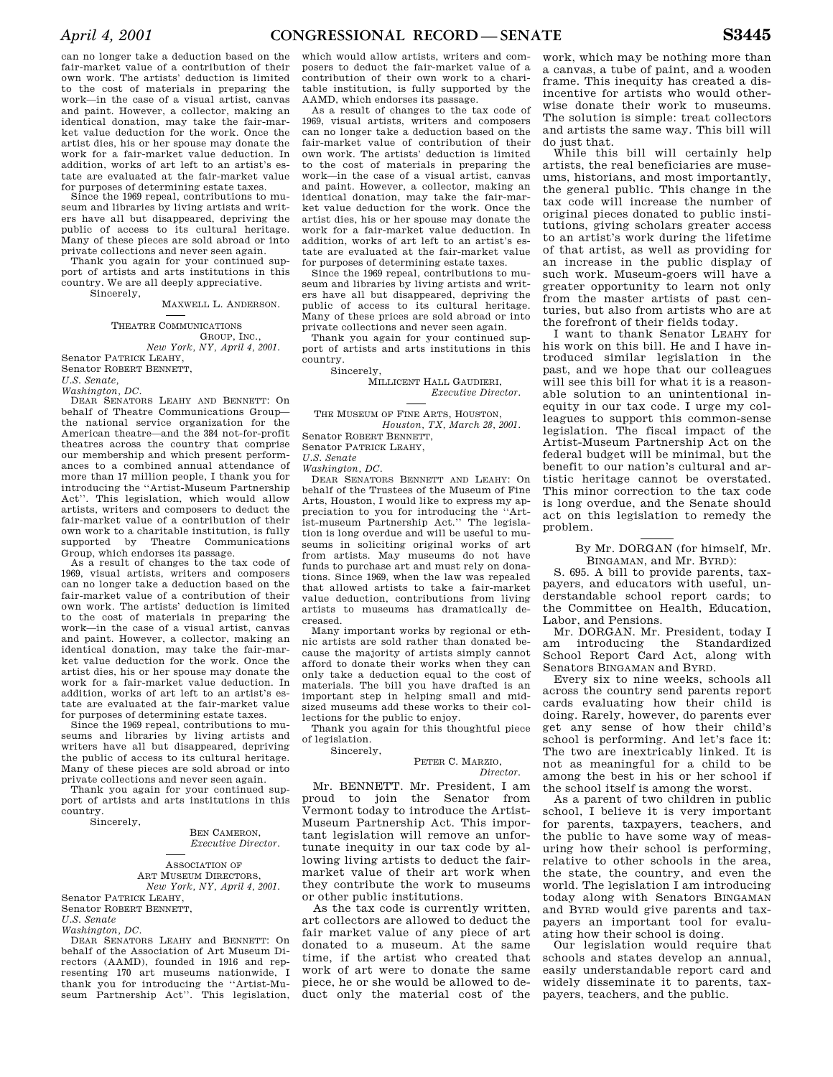can no longer take a deduction based on the fair-market value of a contribution of their own work. The artists' deduction is limited to the cost of materials in preparing the work—in the case of a visual artist, canvas and paint. However, a collector, making an identical donation, may take the fair-market value deduction for the work. Once the artist dies, his or her spouse may donate the work for a fair-market value deduction. In addition, works of art left to an artist's estate are evaluated at the fair-market value for purposes of determining estate taxes.

Since the 1969 repeal, contributions to museum and libraries by living artists and writers have all but disappeared, depriving the public of access to its cultural heritage. Many of these pieces are sold abroad or into private collections and never seen again.

Thank you again for your continued support of artists and arts institutions in this country. We are all deeply appreciative. Sincerely,

### MAXWELL L. ANDERSON.

# THEATRE COMMUNICATIONS GROUP, INC.

*New York, NY, April 4, 2001.*  Senator PATRICK LEAHY,

Senator ROBERT BENNETT,

*U.S. Senate, Washington, DC.* 

DEAR SENATORS LEAHY AND BENNETT: On behalf of Theatre Communications Group the national service organization for the American theatre—and the 384 not-for-profit theatres across the country that comprise our membership and which present performances to a combined annual attendance of more than 17 million people, I thank you for introducing the ''Artist-Museum Partnership Act''. This legislation, which would allow artists, writers and composers to deduct the fair-market value of a contribution of their own work to a charitable institution, is fully supported by Theatre Communications

Group, which endorses its passage. As a result of changes to the tax code of 1969, visual artists, writers and composers can no longer take a deduction based on the fair-market value of a contribution of their own work. The artists' deduction is limited to the cost of materials in preparing the work—in the case of a visual artist, canvas and paint. However, a collector, making an identical donation, may take the fair-market value deduction for the work. Once the artist dies, his or her spouse may donate the work for a fair-market value deduction. In addition, works of art left to an artist's estate are evaluated at the fair-market value for purposes of determining estate taxes.

Since the 1969 repeal, contributions to museums and libraries by living artists and writers have all but disappeared, depriving the public of access to its cultural heritage. Many of these pieces are sold abroad or into private collections and never seen again.

Thank you again for your continued support of artists and arts institutions in this country.

Sincerely,

BEN CAMERON, *Executive Director.* 

ASSOCIATION OF ART MUSEUM DIRECTORS, *New York, NY, April 4, 2001.*  Senator PATRICK LEAHY,

Senator ROBERT BENNETT,

*U.S. Senate* 

*Washington, DC.* 

DEAR SENATORS LEAHY and BENNETT: On behalf of the Association of Art Museum Directors (AAMD), founded in 1916 and representing 170 art museums nationwide, I thank you for introducing the ''Artist-Museum Partnership Act''. This legislation, which would allow artists, writers and composers to deduct the fair-market value of a contribution of their own work to a charitable institution, is fully supported by the AAMD, which endorses its passage.

As a result of changes to the tax code of 1969, visual artists, writers and composers can no longer take a deduction based on the fair-market value of contribution of their own work. The artists' deduction is limited to the cost of materials in preparing the work—in the case of a visual artist, canvas and paint. However, a collector, making an identical donation, may take the fair-market value deduction for the work. Once the artist dies, his or her spouse may donate the work for a fair-market value deduction. In addition, works of art left to an artist's estate are evaluated at the fair-market value for purposes of determining estate taxes.

Since the 1969 repeal, contributions to museum and libraries by living artists and writers have all but disappeared, depriving the public of access to its cultural heritage. Many of these prices are sold abroad or into private collections and never seen again.

Thank you again for your continued support of artists and arts institutions in this country.

Sincerely,

MILLICENT HALL GAUDIERI, *Executive Director.* 

THE MUSEUM OF FINE ARTS, HOUSTON, *Houston, TX, March 28, 2001.* 

Senator ROBERT BENNETT,

Senator PATRICK LEAHY, *U.S. Senate* 

*Washington, DC.* 

DEAR SENATORS BENNETT AND LEAHY: On behalf of the Trustees of the Museum of Fine Arts, Houston, I would like to express my appreciation to you for introducing the ''Artist-museum Partnership Act.'' The legislation is long overdue and will be useful to museums in soliciting original works of art from artists. May museums do not have funds to purchase art and must rely on donations. Since 1969, when the law was repealed that allowed artists to take a fair-market value deduction, contributions from living artists to museums has dramatically decreased.

Many important works by regional or ethnic artists are sold rather than donated because the majority of artists simply cannot afford to donate their works when they can only take a deduction equal to the cost of materials. The bill you have drafted is an important step in helping small and midsized museums add these works to their collections for the public to enjoy.

Thank you again for this thoughtful piece of legislation.

Sincerely,

PETER C. MARZIO, *Director.* 

Mr. BENNETT. Mr. President, I am proud to join the Senator from Vermont today to introduce the Artist-Museum Partnership Act. This important legislation will remove an unfortunate inequity in our tax code by allowing living artists to deduct the fairmarket value of their art work when they contribute the work to museums or other public institutions.

As the tax code is currently written, art collectors are allowed to deduct the fair market value of any piece of art donated to a museum. At the same time, if the artist who created that work of art were to donate the same piece, he or she would be allowed to deduct only the material cost of the

work, which may be nothing more than a canvas, a tube of paint, and a wooden frame. This inequity has created a disincentive for artists who would otherwise donate their work to museums. The solution is simple: treat collectors and artists the same way. This bill will do just that.

While this bill will certainly help artists, the real beneficiaries are museums, historians, and most importantly, the general public. This change in the tax code will increase the number of original pieces donated to public institutions, giving scholars greater access to an artist's work during the lifetime of that artist, as well as providing for an increase in the public display of such work. Museum-goers will have a greater opportunity to learn not only from the master artists of past centuries, but also from artists who are at the forefront of their fields today.

I want to thank Senator LEAHY for his work on this bill. He and I have introduced similar legislation in the past, and we hope that our colleagues will see this bill for what it is a reasonable solution to an unintentional inequity in our tax code. I urge my colleagues to support this common-sense legislation. The fiscal impact of the Artist-Museum Partnership Act on the federal budget will be minimal, but the benefit to our nation's cultural and artistic heritage cannot be overstated. This minor correction to the tax code is long overdue, and the Senate should act on this legislation to remedy the problem.

> By Mr. DORGAN (for himself, Mr. BINGAMAN, and Mr. BYRD):

S. 695. A bill to provide parents, taxpayers, and educators with useful, understandable school report cards; to the Committee on Health, Education, Labor, and Pensions.

Mr. DORGAN. Mr. President, today I am introducing the Standardized School Report Card Act, along with Senators BINGAMAN and BYRD.

Every six to nine weeks, schools all across the country send parents report cards evaluating how their child is doing. Rarely, however, do parents ever get any sense of how their child's school is performing. And let's face it: The two are inextricably linked. It is not as meaningful for a child to be among the best in his or her school if the school itself is among the worst.

As a parent of two children in public school, I believe it is very important for parents, taxpayers, teachers, and the public to have some way of measuring how their school is performing, relative to other schools in the area, the state, the country, and even the world. The legislation I am introducing today along with Senators BINGAMAN and BYRD would give parents and taxpayers an important tool for evaluating how their school is doing.

Our legislation would require that schools and states develop an annual, easily understandable report card and widely disseminate it to parents, taxpayers, teachers, and the public.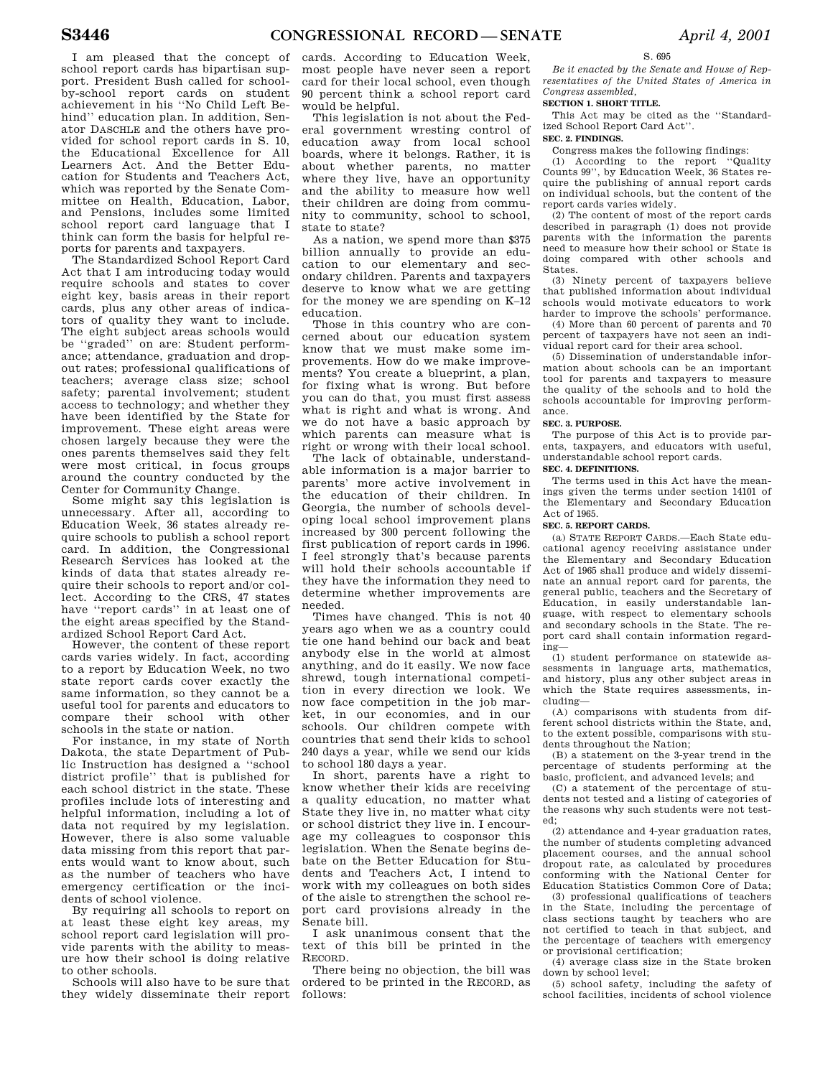I am pleased that the concept of school report cards has bipartisan support. President Bush called for schoolby-school report cards on student achievement in his ''No Child Left Behind'' education plan. In addition, Senator DASCHLE and the others have provided for school report cards in S. 10, the Educational Excellence for All Learners Act. And the Better Education for Students and Teachers Act, which was reported by the Senate Committee on Health, Education, Labor, and Pensions, includes some limited school report card language that I think can form the basis for helpful reports for parents and taxpayers.

The Standardized School Report Card Act that I am introducing today would require schools and states to cover eight key, basis areas in their report cards, plus any other areas of indicators of quality they want to include. The eight subject areas schools would be ''graded'' on are: Student performance; attendance, graduation and dropout rates; professional qualifications of teachers; average class size; school safety; parental involvement; student access to technology; and whether they have been identified by the State for improvement. These eight areas were chosen largely because they were the ones parents themselves said they felt were most critical, in focus groups around the country conducted by the Center for Community Change.

Some might say this legislation is unnecessary. After all, according to Education Week, 36 states already require schools to publish a school report card. In addition, the Congressional Research Services has looked at the kinds of data that states already require their schools to report and/or collect. According to the CRS, 47 states have ''report cards'' in at least one of the eight areas specified by the Standardized School Report Card Act.

However, the content of these report cards varies widely. In fact, according to a report by Education Week, no two state report cards cover exactly the same information, so they cannot be a useful tool for parents and educators to compare their school with other schools in the state or nation.

For instance, in my state of North Dakota, the state Department of Public Instruction has designed a ''school district profile'' that is published for each school district in the state. These profiles include lots of interesting and helpful information, including a lot of data not required by my legislation. However, there is also some valuable data missing from this report that parents would want to know about, such as the number of teachers who have emergency certification or the incidents of school violence.

By requiring all schools to report on at least these eight key areas, my school report card legislation will provide parents with the ability to measure how their school is doing relative to other schools.

Schools will also have to be sure that they widely disseminate their report

cards. According to Education Week, most people have never seen a report card for their local school, even though 90 percent think a school report card would be helpful.

This legislation is not about the Federal government wresting control of education away from local school boards, where it belongs. Rather, it is about whether parents, no matter where they live, have an opportunity and the ability to measure how well their children are doing from community to community, school to school, state to state?

As a nation, we spend more than \$375 billion annually to provide an education to our elementary and secondary children. Parents and taxpayers deserve to know what we are getting for the money we are spending on K–12 education.

Those in this country who are concerned about our education system know that we must make some improvements. How do we make improvements? You create a blueprint, a plan, for fixing what is wrong. But before you can do that, you must first assess what is right and what is wrong. And we do not have a basic approach by which parents can measure what is right or wrong with their local school.

The lack of obtainable, understandable information is a major barrier to parents' more active involvement in the education of their children. In Georgia, the number of schools developing local school improvement plans increased by 300 percent following the first publication of report cards in 1996. I feel strongly that's because parents will hold their schools accountable if they have the information they need to determine whether improvements are needed.

Times have changed. This is not 40 years ago when we as a country could tie one hand behind our back and beat anybody else in the world at almost anything, and do it easily. We now face shrewd, tough international competition in every direction we look. We now face competition in the job market, in our economies, and in our schools. Our children compete with countries that send their kids to school 240 days a year, while we send our kids to school 180 days a year.

In short, parents have a right to know whether their kids are receiving a quality education, no matter what State they live in, no matter what city or school district they live in. I encourage my colleagues to cosponsor this legislation. When the Senate begins debate on the Better Education for Students and Teachers Act, I intend to work with my colleagues on both sides of the aisle to strengthen the school report card provisions already in the Senate bill.

I ask unanimous consent that the text of this bill be printed in the RECORD.

There being no objection, the bill was ordered to be printed in the RECORD, as follows:

## S. 695

*Be it enacted by the Senate and House of Representatives of the United States of America in Congress assembled,* 

# **SECTION 1. SHORT TITLE.**

This Act may be cited as the ''Standardized School Report Card Act''.

# **SEC. 2. FINDINGS.**

Congress makes the following findings:

(1) According to the report ''Quality Counts 99'', by Education Week, 36 States require the publishing of annual report cards on individual schools, but the content of the report cards varies widely.

(2) The content of most of the report cards described in paragraph (1) does not provide parents with the information the parents need to measure how their school or State is doing compared with other schools and States.

(3) Ninety percent of taxpayers believe that published information about individual schools would motivate educators to work harder to improve the schools' performance.

(4) More than 60 percent of parents and 70 percent of taxpayers have not seen an individual report card for their area school.

(5) Dissemination of understandable information about schools can be an important tool for parents and taxpayers to measure the quality of the schools and to hold the schools accountable for improving performance.

### **SEC. 3. PURPOSE.**

The purpose of this Act is to provide parents, taxpayers, and educators with useful, understandable school report cards.

# **SEC. 4. DEFINITIONS.**

The terms used in this Act have the meanings given the terms under section 14101 of the Elementary and Secondary Education Act of 1965.

#### **SEC. 5. REPORT CARDS.**

(a) STATE REPORT CARDS.—Each State educational agency receiving assistance under the Elementary and Secondary Education Act of 1965 shall produce and widely disseminate an annual report card for parents, the general public, teachers and the Secretary of Education, in easily understandable language, with respect to elementary schools and secondary schools in the State. The report card shall contain information regarding—

(1) student performance on statewide assessments in language arts, mathematics, and history, plus any other subject areas in which the State requires assessments, including—

(A) comparisons with students from different school districts within the State, and, to the extent possible, comparisons with students throughout the Nation;

(B) a statement on the 3-year trend in the percentage of students performing at the basic, proficient, and advanced levels; and

(C) a statement of the percentage of students not tested and a listing of categories of the reasons why such students were not tested;

(2) attendance and 4-year graduation rates, the number of students completing advanced placement courses, and the annual school dropout rate, as calculated by procedures conforming with the National Center for Education Statistics Common Core of Data;

(3) professional qualifications of teachers in the State, including the percentage of class sections taught by teachers who are not certified to teach in that subject, and the percentage of teachers with emergency or provisional certification;

(4) average class size in the State broken down by school level;

(5) school safety, including the safety of school facilities, incidents of school violence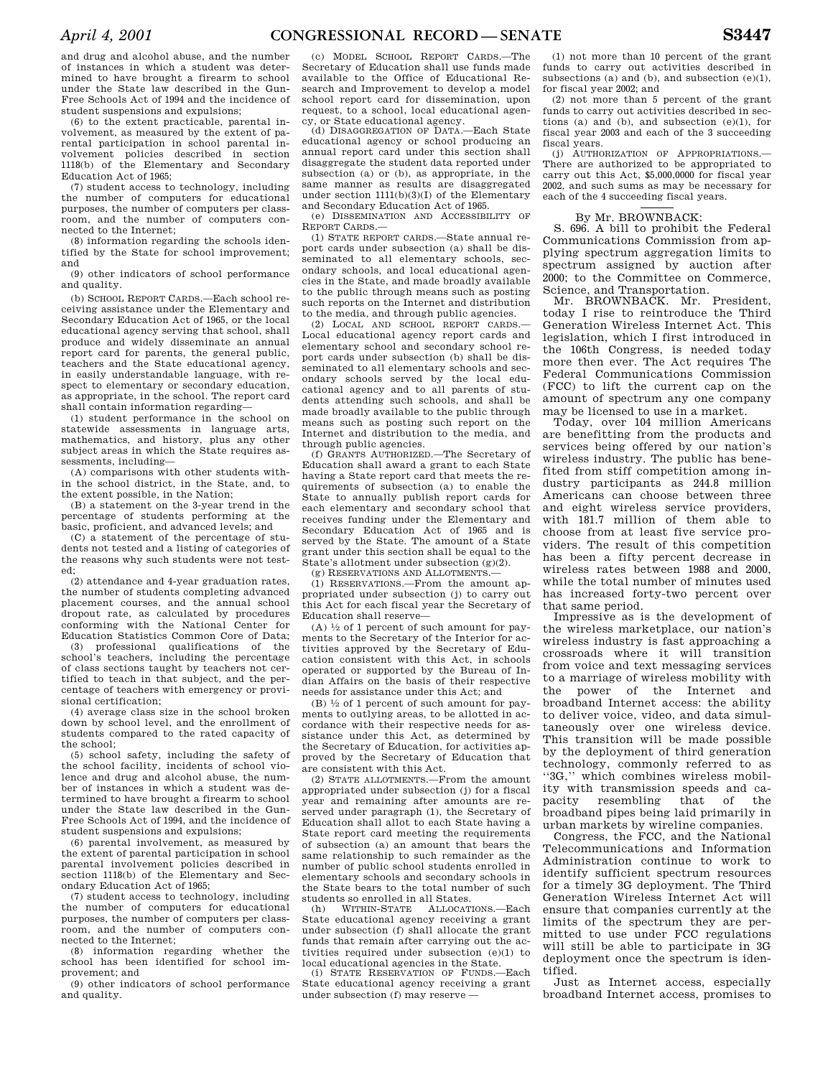and drug and alcohol abuse, and the number of instances in which a student was determined to have brought a firearm to school under the State law described in the Gun-Free Schools Act of 1994 and the incidence of student suspensions and expulsions;

(6) to the extent practicable, parental involvement, as measured by the extent of parental participation in school parental involvement policies described in section 1118(b) of the Elementary and Secondary Education Act of 1965;

(7) student access to technology, including the number of computers for educational purposes, the number of computers per classroom, and the number of computers connected to the Internet;

(8) information regarding the schools identified by the State for school improvement; and

(9) other indicators of school performance and quality.

(b) SCHOOL REPORT CARDS.—Each school receiving assistance under the Elementary and Secondary Education Act of 1965, or the local educational agency serving that school, shall produce and widely disseminate an annual report card for parents, the general public, teachers and the State educational agency, in easily understandable language, with respect to elementary or secondary education, as appropriate, in the school. The report card shall contain information regarding—

(1) student performance in the school on statewide assessments in language arts, mathematics, and history, plus any other subject areas in which the State requires assessments, including—

(A) comparisons with other students within the school district, in the State, and, to the extent possible, in the Nation;

(B) a statement on the 3-year trend in the percentage of students performing at the basic, proficient, and advanced levels; and

(C) a statement of the percentage of students not tested and a listing of categories of the reasons why such students were not tested;

(2) attendance and 4-year graduation rates, the number of students completing advanced placement courses, and the annual school dropout rate, as calculated by procedures conforming with the National Center for Education Statistics Common Core of Data;

(3) professional qualifications of the school's teachers, including the percentage of class sections taught by teachers not certified to teach in that subject, and the percentage of teachers with emergency or provisional certification;

(4) average class size in the school broken down by school level, and the enrollment of students compared to the rated capacity of the school;

(5) school safety, including the safety of the school facility, incidents of school violence and drug and alcohol abuse, the number of instances in which a student was determined to have brought a firearm to school under the State law described in the Gun-Free Schools Act of 1994, and the incidence of student suspensions and expulsions;

(6) parental involvement, as measured by the extent of parental participation in school parental involvement policies described in section 1118(b) of the Elementary and Secondary Education Act of 1965;

(7) student access to technology, including the number of computers for educational purposes, the number of computers per classroom, and the number of computers connected to the Internet;

(8) information regarding whether the school has been identified for school improvement; and

(9) other indicators of school performance and quality.

(c) MODEL SCHOOL REPORT CARDS.—The Secretary of Education shall use funds made available to the Office of Educational Research and Improvement to develop a model school report card for dissemination, upon request, to a school, local educational agency, or State educational agency.

(d) DISAGGREGATION OF DATA.—Each State educational agency or school producing an annual report card under this section shall disaggregate the student data reported under subsection (a) or (b), as appropriate, in the same manner as results are disaggregated under section  $1111(b)(3)(I)$  of the Elementary and Secondary Education Act of 1965.

(e) DISSEMINATION AND ACCESSIBILITY OF REPORT CARDS.—

(1) STATE REPORT CARDS.—State annual report cards under subsection (a) shall be disseminated to all elementary schools, secondary schools, and local educational agencies in the State, and made broadly available to the public through means such as posting such reports on the Internet and distribution to the media, and through public agencies.

(2) LOCAL AND SCHOOL REPORT CARDS.— Local educational agency report cards and elementary school and secondary school report cards under subsection (b) shall be disseminated to all elementary schools and secondary schools served by the local educational agency and to all parents of students attending such schools, and shall be made broadly available to the public through means such as posting such report on the Internet and distribution to the media, and through public agencies.

(f) GRANTS AUTHORIZED.—The Secretary of Education shall award a grant to each State having a State report card that meets the requirements of subsection (a) to enable the State to annually publish report cards for each elementary and secondary school that receives funding under the Elementary and Secondary Education Act of 1965 and is served by the State. The amount of a State grant under this section shall be equal to the State's allotment under subsection (g)(2).

(g) RESERVATIONS AND ALLOTMENTS.—

(1) RESERVATIONS.—From the amount appropriated under subsection (j) to carry out this Act for each fiscal year the Secretary of Education shall reserve—

(A)  $\frac{1}{2}$  of 1 percent of such amount for payments to the Secretary of the Interior for activities approved by the Secretary of Education consistent with this Act, in schools operated or supported by the Bureau of Indian Affairs on the basis of their respective needs for assistance under this Act; and

(B)  $\frac{1}{2}$  of 1 percent of such amount for payments to outlying areas, to be allotted in accordance with their respective needs for assistance under this Act, as determined by the Secretary of Education, for activities approved by the Secretary of Education that are consistent with this Act.

(2) STATE ALLOTMENTS.—From the amount appropriated under subsection (j) for a fiscal year and remaining after amounts are reserved under paragraph (1), the Secretary of Education shall allot to each State having a State report card meeting the requirements of subsection (a) an amount that bears the same relationship to such remainder as the number of public school students enrolled in elementary schools and secondary schools in the State bears to the total number of such students so enrolled in all States.

(h) WITHIN-STATE ALLOCATIONS.—Each State educational agency receiving a grant under subsection (f) shall allocate the grant funds that remain after carrying out the activities required under subsection (e)(1) to local educational agencies in the State.

(i) STATE RESERVATION OF FUNDS.—Each State educational agency receiving a grant under subsection (f) may reserve —

(1) not more than 10 percent of the grant funds to carry out activities described in subsections (a) and (b), and subsection  $(e)(1)$ , for fiscal year 2002; and

(2) not more than 5 percent of the grant funds to carry out activities described in sections (a) and (b), and subsection (e)(1), for fiscal year 2003 and each of the 3 succeeding fiscal years.

(j) AUTHORIZATION OF APPROPRIATIONS.— There are authorized to be appropriated to carry out this Act, \$5,000,0000 for fiscal year 2002, and such sums as may be necessary for each of the 4 succeeding fiscal years.

# By Mr. BROWNBACK:

S. 696. A bill to prohibit the Federal Communications Commission from applying spectrum aggregation limits to spectrum assigned by auction after 2000; to the Committee on Commerce, Science, and Transportation.

Mr. BROWNBACK. Mr. President, today I rise to reintroduce the Third Generation Wireless Internet Act. This legislation, which I first introduced in the 106th Congress, is needed today more then ever. The Act requires The Federal Communications Commission (FCC) to lift the current cap on the amount of spectrum any one company may be licensed to use in a market.

Today, over 104 million Americans are benefitting from the products and services being offered by our nation's wireless industry. The public has benefited from stiff competition among industry participants as 244.8 million Americans can choose between three and eight wireless service providers, with 181.7 million of them able to choose from at least five service providers. The result of this competition has been a fifty percent decrease in wireless rates between 1988 and 2000, while the total number of minutes used has increased forty-two percent over that same period.

Impressive as is the development of the wireless marketplace, our nation's wireless industry is fast approaching a crossroads where it will transition from voice and text messaging services to a marriage of wireless mobility with the power of the Internet and broadband Internet access: the ability to deliver voice, video, and data simultaneously over one wireless device. This transition will be made possible by the deployment of third generation technology, commonly referred to as ''3G,'' which combines wireless mobility with transmission speeds and capacity resembling that of the broadband pipes being laid primarily in urban markets by wireline companies.

Congress, the FCC, and the National Telecommunications and Information Administration continue to work to identify sufficient spectrum resources for a timely 3G deployment. The Third Generation Wireless Internet Act will ensure that companies currently at the limits of the spectrum they are permitted to use under FCC regulations will still be able to participate in 3G deployment once the spectrum is identified.

Just as Internet access, especially broadband Internet access, promises to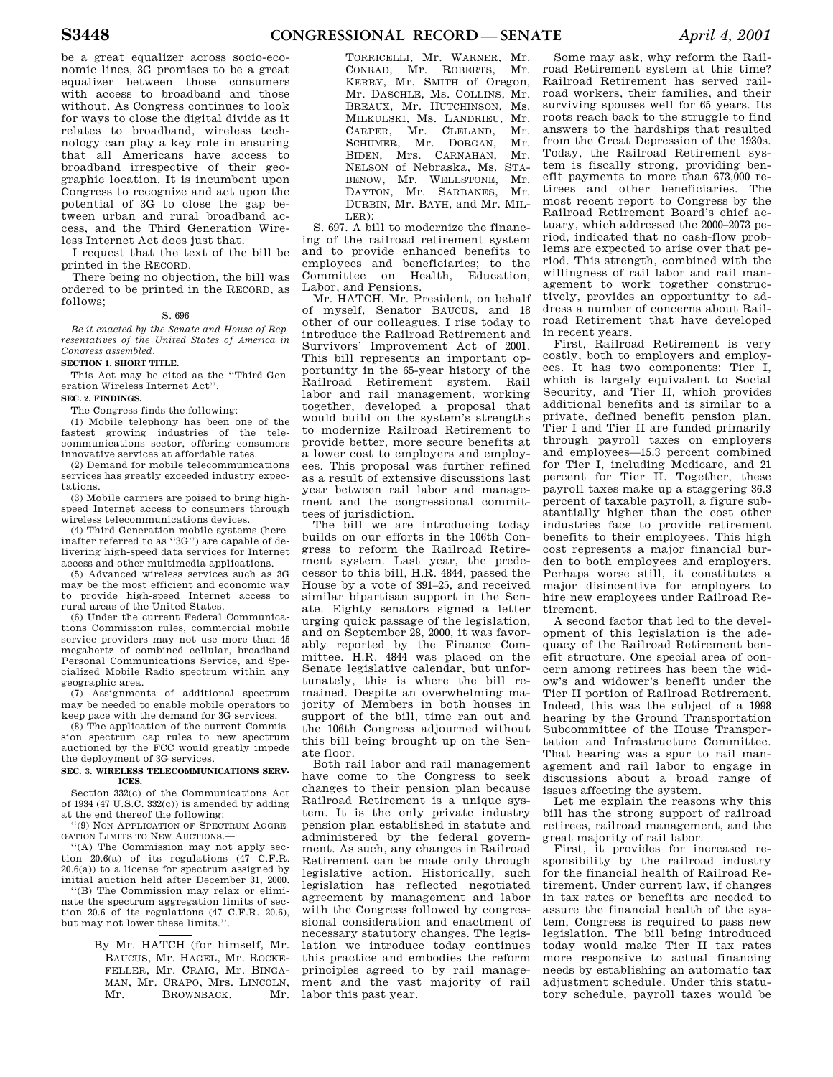be a great equalizer across socio-economic lines, 3G promises to be a great equalizer between those consumers with access to broadband and those without. As Congress continues to look for ways to close the digital divide as it relates to broadband, wireless technology can play a key role in ensuring that all Americans have access to broadband irrespective of their geographic location. It is incumbent upon Congress to recognize and act upon the potential of 3G to close the gap between urban and rural broadband access, and the Third Generation Wireless Internet Act does just that.

I request that the text of the bill be printed in the RECORD.

There being no objection, the bill was ordered to be printed in the RECORD, as follows;

S. 696

*Be it enacted by the Senate and House of Representatives of the United States of America in Congress assembled,* 

### **SECTION 1. SHORT TITLE.**

This Act may be cited as the ''Third-Generation Wireless Internet Act''. **SEC. 2. FINDINGS.** 

The Congress finds the following:

(1) Mobile telephony has been one of the fastest growing industries of the telecommunications sector, offering consumers innovative services at affordable rates.

(2) Demand for mobile telecommunications services has greatly exceeded industry expectations.

(3) Mobile carriers are poised to bring highspeed Internet access to consumers through wireless telecommunications devices.

(4) Third Generation mobile systems (hereinafter referred to as ''3G'') are capable of delivering high-speed data services for Internet access and other multimedia applications.

(5) Advanced wireless services such as 3G may be the most efficient and economic way to provide high-speed Internet access to rural areas of the United States.

(6) Under the current Federal Communications Commission rules, commercial mobile service providers may not use more than 45 megahertz of combined cellular, broadband Personal Communications Service, and Specialized Mobile Radio spectrum within any geographic area.

(7) Assignments of additional spectrum may be needed to enable mobile operators to keep pace with the demand for 3G services.

(8) The application of the current Commission spectrum cap rules to new spectrum auctioned by the FCC would greatly impede the deployment of 3G services.

#### **SEC. 3. WIRELESS TELECOMMUNICATIONS SERV-ICES.**

Section 332(c) of the Communications Act of 1934 (47 U.S.C. 332 $(c)$ ) is amended by adding at the end thereof the following:

''(9) NON-APPLICATION OF SPECTRUM AGGRE-GATION LIMITS TO NEW AUCTIONS.—

''(A) The Commission may not apply section  $20.6(a)$  of its regulations  $(47 \text{ C.F.R.})$ 20.6(a)) to a license for spectrum assigned by initial auction held after December 31, 2000.

''(B) The Commission may relax or eliminate the spectrum aggregation limits of section 20.6 of its regulations (47 C.F.R. 20.6), but may not lower these limits.'

> By Mr. HATCH (for himself, Mr. BAUCUS, Mr. HAGEL, Mr. ROCKE-FELLER, Mr. CRAIG, Mr. BINGA-MAN, Mr. CRAPO, Mrs. LINCOLN, Mr. BROWNBACK, Mr.

TORRICELLI, Mr. WARNER, Mr. CONRAD, Mr. ROBERTS, Mr. KERRY, Mr. SMITH of Oregon, Mr. DASCHLE, Ms. COLLINS, Mr. BREAUX, Mr. HUTCHINSON, Ms. MILKULSKI, Ms. LANDRIEU, Mr. CARPER, Mr. CLELAND, Mr. SCHUMER, Mr. DORGAN, Mr. BIDEN, Mrs. CARNAHAN, Mr. NELSON of Nebraska, Ms. STA-BENOW, Mr. WELLSTONE, Mr. DAYTON, Mr. SARBANES, Mr. DURBIN, Mr. BAYH, and Mr. MIL-LER):

S. 697. A bill to modernize the financing of the railroad retirement system and to provide enhanced benefits to employees and beneficiaries; to the Committee on Health, Education, Labor, and Pensions.

Mr. HATCH. Mr. President, on behalf of myself, Senator BAUCUS, and 18 other of our colleagues, I rise today to introduce the Railroad Retirement and Survivors' Improvement Act of 2001. This bill represents an important opportunity in the 65-year history of the Railroad Retirement system. Rail labor and rail management, working together, developed a proposal that would build on the system's strengths to modernize Railroad Retirement to provide better, more secure benefits at a lower cost to employers and employees. This proposal was further refined as a result of extensive discussions last year between rail labor and management and the congressional committees of jurisdiction.

The bill we are introducing today builds on our efforts in the 106th Congress to reform the Railroad Retirement system. Last year, the predecessor to this bill, H.R. 4844, passed the House by a vote of 391–25, and received similar bipartisan support in the Senate. Eighty senators signed a letter urging quick passage of the legislation, and on September 28, 2000, it was favorably reported by the Finance Committee. H.R. 4844 was placed on the Senate legislative calendar, but unfortunately, this is where the bill remained. Despite an overwhelming majority of Members in both houses in support of the bill, time ran out and the 106th Congress adjourned without this bill being brought up on the Senate floor.

Both rail labor and rail management have come to the Congress to seek changes to their pension plan because Railroad Retirement is a unique system. It is the only private industry pension plan established in statute and administered by the federal government. As such, any changes in Railroad Retirement can be made only through legislative action. Historically, such legislation has reflected negotiated agreement by management and labor with the Congress followed by congressional consideration and enactment of necessary statutory changes. The legislation we introduce today continues this practice and embodies the reform principles agreed to by rail management and the vast majority of rail labor this past year.

Some may ask, why reform the Railroad Retirement system at this time? Railroad Retirement has served railroad workers, their families, and their surviving spouses well for 65 years. Its roots reach back to the struggle to find answers to the hardships that resulted from the Great Depression of the 1930s. Today, the Railroad Retirement system is fiscally strong, providing benefit payments to more than 673,000 retirees and other beneficiaries. The most recent report to Congress by the Railroad Retirement Board's chief actuary, which addressed the 2000–2073 period, indicated that no cash-flow problems are expected to arise over that period. This strength, combined with the willingness of rail labor and rail management to work together constructively, provides an opportunity to address a number of concerns about Railroad Retirement that have developed in recent years.

First, Railroad Retirement is very costly, both to employers and employees. It has two components: Tier I, which is largely equivalent to Social Security, and Tier II, which provides additional benefits and is similar to a private, defined benefit pension plan. Tier I and Tier II are funded primarily through payroll taxes on employers and employees—15.3 percent combined for Tier I, including Medicare, and 21 percent for Tier II. Together, these payroll taxes make up a staggering 36.3 percent of taxable payroll, a figure substantially higher than the cost other industries face to provide retirement benefits to their employees. This high cost represents a major financial burden to both employees and employers. Perhaps worse still, it constitutes a major disincentive for employers to hire new employees under Railroad Retirement.

A second factor that led to the development of this legislation is the adequacy of the Railroad Retirement benefit structure. One special area of concern among retirees has been the widow's and widower's benefit under the Tier II portion of Railroad Retirement. Indeed, this was the subject of a 1998 hearing by the Ground Transportation Subcommittee of the House Transportation and Infrastructure Committee. That hearing was a spur to rail management and rail labor to engage in discussions about a broad range of issues affecting the system.

Let me explain the reasons why this bill has the strong support of railroad retirees, railroad management, and the great majority of rail labor.

First, it provides for increased responsibility by the railroad industry for the financial health of Railroad Retirement. Under current law, if changes in tax rates or benefits are needed to assure the financial health of the system, Congress is required to pass new legislation. The bill being introduced today would make Tier II tax rates more responsive to actual financing needs by establishing an automatic tax adjustment schedule. Under this statutory schedule, payroll taxes would be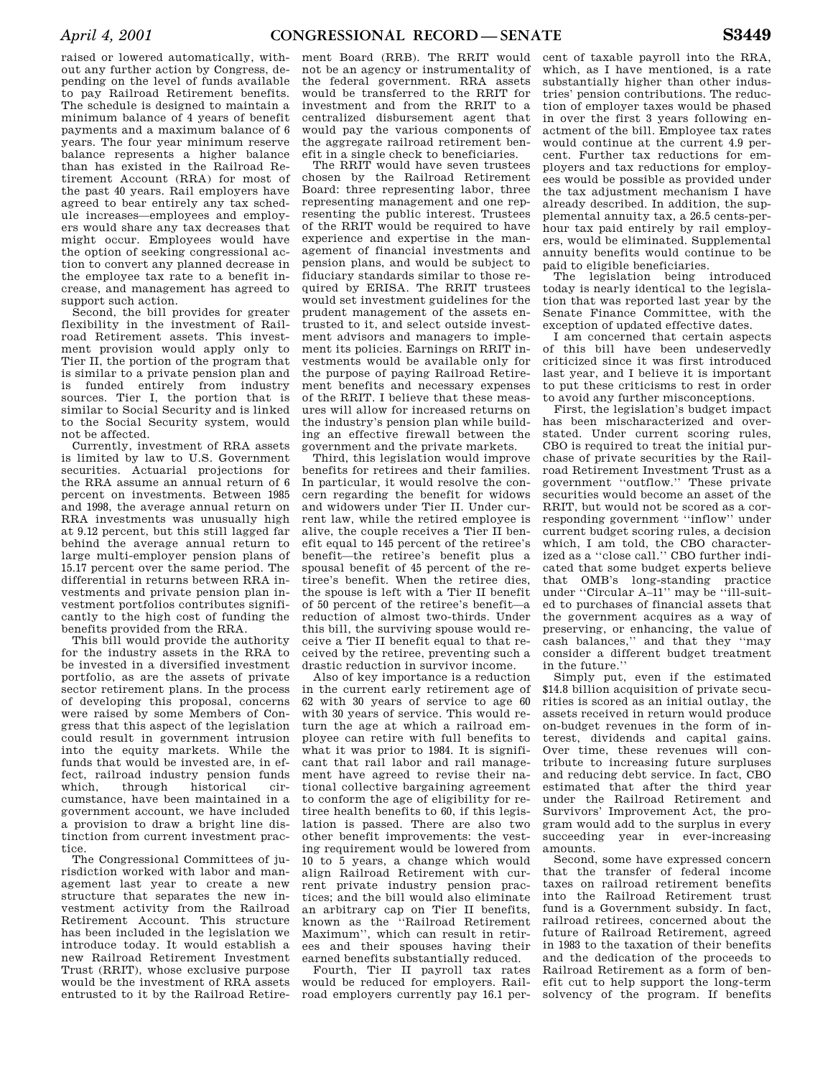raised or lowered automatically, without any further action by Congress, depending on the level of funds available to pay Railroad Retirement benefits. The schedule is designed to maintain a minimum balance of 4 years of benefit payments and a maximum balance of 6 years. The four year minimum reserve balance represents a higher balance than has existed in the Railroad Retirement Account (RRA) for most of the past 40 years. Rail employers have agreed to bear entirely any tax schedule increases—employees and employers would share any tax decreases that might occur. Employees would have the option of seeking congressional action to convert any planned decrease in the employee tax rate to a benefit increase, and management has agreed to support such action.

Second, the bill provides for greater flexibility in the investment of Railroad Retirement assets. This investment provision would apply only to Tier II, the portion of the program that is similar to a private pension plan and is funded entirely from industry sources. Tier I, the portion that is similar to Social Security and is linked to the Social Security system, would not be affected.

Currently, investment of RRA assets is limited by law to U.S. Government securities. Actuarial projections for the RRA assume an annual return of 6 percent on investments. Between 1985 and 1998, the average annual return on RRA investments was unusually high at 9.12 percent, but this still lagged far behind the average annual return to large multi-employer pension plans of 15.17 percent over the same period. The differential in returns between RRA investments and private pension plan investment portfolios contributes significantly to the high cost of funding the benefits provided from the RRA.

This bill would provide the authority for the industry assets in the RRA to be invested in a diversified investment portfolio, as are the assets of private sector retirement plans. In the process of developing this proposal, concerns were raised by some Members of Congress that this aspect of the legislation could result in government intrusion into the equity markets. While the funds that would be invested are, in effect, railroad industry pension funds which, through historical circumstance, have been maintained in a government account, we have included a provision to draw a bright line distinction from current investment practice.

The Congressional Committees of jurisdiction worked with labor and management last year to create a new structure that separates the new investment activity from the Railroad Retirement Account. This structure has been included in the legislation we introduce today. It would establish a new Railroad Retirement Investment Trust (RRIT), whose exclusive purpose would be the investment of RRA assets entrusted to it by the Railroad Retire-

ment Board (RRB). The RRIT would not be an agency or instrumentality of the federal government. RRA assets would be transferred to the RRIT for investment and from the RRIT to a centralized disbursement agent that would pay the various components of the aggregate railroad retirement benefit in a single check to beneficiaries.

The RRIT would have seven trustees chosen by the Railroad Retirement Board: three representing labor, three representing management and one representing the public interest. Trustees of the RRIT would be required to have experience and expertise in the management of financial investments and pension plans, and would be subject to fiduciary standards similar to those required by ERISA. The RRIT trustees would set investment guidelines for the prudent management of the assets entrusted to it, and select outside investment advisors and managers to implement its policies. Earnings on RRIT investments would be available only for the purpose of paying Railroad Retirement benefits and necessary expenses of the RRIT. I believe that these measures will allow for increased returns on the industry's pension plan while building an effective firewall between the government and the private markets.

Third, this legislation would improve benefits for retirees and their families. In particular, it would resolve the concern regarding the benefit for widows and widowers under Tier II. Under current law, while the retired employee is alive, the couple receives a Tier II benefit equal to 145 percent of the retiree's benefit—the retiree's benefit plus a spousal benefit of 45 percent of the retiree's benefit. When the retiree dies, the spouse is left with a Tier II benefit of 50 percent of the retiree's benefit—a reduction of almost two-thirds. Under this bill, the surviving spouse would receive a Tier II benefit equal to that received by the retiree, preventing such a drastic reduction in survivor income.

Also of key importance is a reduction in the current early retirement age of 62 with 30 years of service to age 60 with 30 years of service. This would return the age at which a railroad employee can retire with full benefits to what it was prior to 1984. It is significant that rail labor and rail management have agreed to revise their national collective bargaining agreement to conform the age of eligibility for retiree health benefits to 60, if this legislation is passed. There are also two other benefit improvements: the vesting requirement would be lowered from 10 to 5 years, a change which would align Railroad Retirement with current private industry pension practices; and the bill would also eliminate an arbitrary cap on Tier II benefits, known as the ''Railroad Retirement Maximum'', which can result in retirees and their spouses having their earned benefits substantially reduced.

Fourth, Tier II payroll tax rates would be reduced for employers. Railroad employers currently pay 16.1 per-

cent of taxable payroll into the RRA, which, as I have mentioned, is a rate substantially higher than other industries' pension contributions. The reduction of employer taxes would be phased in over the first 3 years following enactment of the bill. Employee tax rates would continue at the current 4.9 percent. Further tax reductions for employers and tax reductions for employees would be possible as provided under the tax adjustment mechanism I have already described. In addition, the supplemental annuity tax, a 26.5 cents-perhour tax paid entirely by rail employers, would be eliminated. Supplemental annuity benefits would continue to be paid to eligible beneficiaries.

The legislation being introduced today is nearly identical to the legislation that was reported last year by the Senate Finance Committee, with the exception of updated effective dates.

I am concerned that certain aspects of this bill have been undeservedly criticized since it was first introduced last year, and I believe it is important to put these criticisms to rest in order to avoid any further misconceptions.

First, the legislation's budget impact has been mischaracterized and overstated. Under current scoring rules, CBO is required to treat the initial purchase of private securities by the Railroad Retirement Investment Trust as a government ''outflow.'' These private securities would become an asset of the RRIT, but would not be scored as a corresponding government ''inflow'' under current budget scoring rules, a decision which, I am told, the CBO characterized as a ''close call.'' CBO further indicated that some budget experts believe that OMB's long-standing practice under ''Circular A–11'' may be ''ill-suited to purchases of financial assets that the government acquires as a way of preserving, or enhancing, the value of cash balances,'' and that they ''may consider a different budget treatment in the future.''

Simply put, even if the estimated \$14.8 billion acquisition of private securities is scored as an initial outlay, the assets received in return would produce on-budget revenues in the form of interest, dividends and capital gains. Over time, these revenues will contribute to increasing future surpluses and reducing debt service. In fact, CBO estimated that after the third year under the Railroad Retirement and Survivors' Improvement Act, the program would add to the surplus in every succeeding year in ever-increasing amounts.

Second, some have expressed concern that the transfer of federal income taxes on railroad retirement benefits into the Railroad Retirement trust fund is a Government subsidy. In fact, railroad retirees, concerned about the future of Railroad Retirement, agreed in 1983 to the taxation of their benefits and the dedication of the proceeds to Railroad Retirement as a form of benefit cut to help support the long-term solvency of the program. If benefits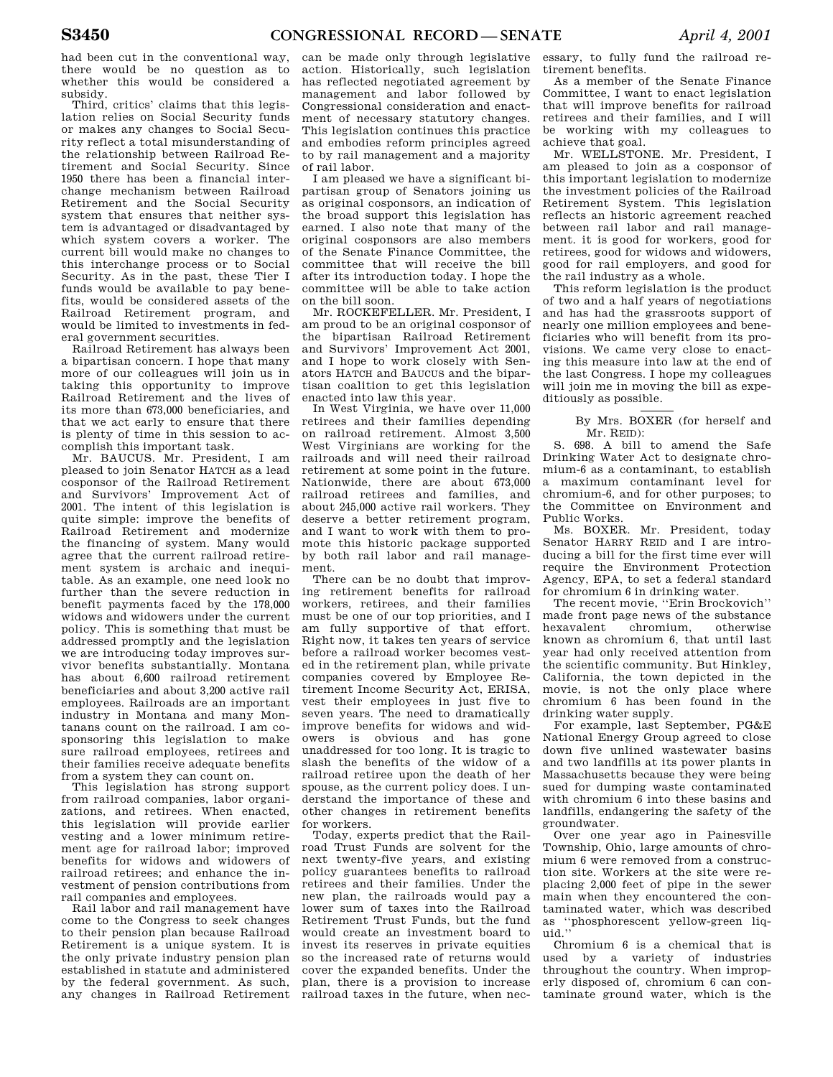had been cut in the conventional way, there would be no question as to whether this would be considered a subsidy.

Third, critics' claims that this legislation relies on Social Security funds or makes any changes to Social Security reflect a total misunderstanding of the relationship between Railroad Retirement and Social Security. Since 1950 there has been a financial interchange mechanism between Railroad Retirement and the Social Security system that ensures that neither system is advantaged or disadvantaged by which system covers a worker. The current bill would make no changes to this interchange process or to Social Security. As in the past, these Tier I funds would be available to pay benefits, would be considered assets of the Railroad Retirement program, and would be limited to investments in federal government securities.

Railroad Retirement has always been a bipartisan concern. I hope that many more of our colleagues will join us in taking this opportunity to improve Railroad Retirement and the lives of its more than 673,000 beneficiaries, and that we act early to ensure that there is plenty of time in this session to accomplish this important task.

Mr. BAUCUS. Mr. President, I am pleased to join Senator HATCH as a lead cosponsor of the Railroad Retirement and Survivors' Improvement Act of 2001. The intent of this legislation is quite simple: improve the benefits of Railroad Retirement and modernize the financing of system. Many would agree that the current railroad retirement system is archaic and inequitable. As an example, one need look no further than the severe reduction in benefit payments faced by the 178,000 widows and widowers under the current policy. This is something that must be addressed promptly and the legislation we are introducing today improves survivor benefits substantially. Montana has about 6,600 railroad retirement beneficiaries and about 3,200 active rail employees. Railroads are an important industry in Montana and many Montanans count on the railroad. I am cosponsoring this legislation to make sure railroad employees, retirees and their families receive adequate benefits from a system they can count on.

This legislation has strong support from railroad companies, labor organizations, and retirees. When enacted, this legislation will provide earlier vesting and a lower minimum retirement age for railroad labor; improved benefits for widows and widowers of railroad retirees; and enhance the investment of pension contributions from rail companies and employees.

Rail labor and rail management have come to the Congress to seek changes to their pension plan because Railroad Retirement is a unique system. It is the only private industry pension plan established in statute and administered by the federal government. As such, any changes in Railroad Retirement

can be made only through legislative action. Historically, such legislation has reflected negotiated agreement by management and labor followed by Congressional consideration and enactment of necessary statutory changes. This legislation continues this practice and embodies reform principles agreed to by rail management and a majority of rail labor.

I am pleased we have a significant bipartisan group of Senators joining us as original cosponsors, an indication of the broad support this legislation has earned. I also note that many of the original cosponsors are also members of the Senate Finance Committee, the committee that will receive the bill after its introduction today. I hope the committee will be able to take action on the bill soon.

Mr. ROCKEFELLER. Mr. President, I am proud to be an original cosponsor of the bipartisan Railroad Retirement and Survivors' Improvement Act 2001, and I hope to work closely with Senators HATCH and BAUCUS and the bipartisan coalition to get this legislation enacted into law this year.

In West Virginia, we have over 11,000 retirees and their families depending on railroad retirement. Almost 3,500 West Virginians are working for the railroads and will need their railroad retirement at some point in the future. Nationwide, there are about 673,000 railroad retirees and families, and about 245,000 active rail workers. They deserve a better retirement program, and I want to work with them to promote this historic package supported by both rail labor and rail management.

There can be no doubt that improving retirement benefits for railroad workers, retirees, and their families must be one of our top priorities, and I am fully supportive of that effort. Right now, it takes ten years of service before a railroad worker becomes vested in the retirement plan, while private companies covered by Employee Retirement Income Security Act, ERISA, vest their employees in just five to seven years. The need to dramatically improve benefits for widows and widowers is obvious and has gone unaddressed for too long. It is tragic to slash the benefits of the widow of a railroad retiree upon the death of her spouse, as the current policy does. I understand the importance of these and other changes in retirement benefits for workers.

Today, experts predict that the Railroad Trust Funds are solvent for the next twenty-five years, and existing policy guarantees benefits to railroad retirees and their families. Under the new plan, the railroads would pay a lower sum of taxes into the Railroad Retirement Trust Funds, but the fund would create an investment board to invest its reserves in private equities so the increased rate of returns would cover the expanded benefits. Under the plan, there is a provision to increase railroad taxes in the future, when nec-

essary, to fully fund the railroad retirement benefits.

As a member of the Senate Finance Committee, I want to enact legislation that will improve benefits for railroad retirees and their families, and I will be working with my colleagues to achieve that goal.

Mr. WELLSTONE. Mr. President, I am pleased to join as a cosponsor of this important legislation to modernize the investment policies of the Railroad Retirement System. This legislation reflects an historic agreement reached between rail labor and rail management. it is good for workers, good for retirees, good for widows and widowers, good for rail employers, and good for the rail industry as a whole.

This reform legislation is the product of two and a half years of negotiations and has had the grassroots support of nearly one million employees and beneficiaries who will benefit from its provisions. We came very close to enacting this measure into law at the end of the last Congress. I hope my colleagues will join me in moving the bill as expeditiously as possible.

> By Mrs. BOXER (for herself and Mr. REID):

S. 698. A bill to amend the Safe Drinking Water Act to designate chromium-6 as a contaminant, to establish a maximum contaminant level for chromium-6, and for other purposes; to the Committee on Environment and Public Works.

Ms. BOXER. Mr. President, today Senator HARRY REID and I are introducing a bill for the first time ever will require the Environment Protection Agency, EPA, to set a federal standard for chromium 6 in drinking water.

The recent movie, ''Erin Brockovich'' made front page news of the substance hexavalent chromium, otherwise known as chromium 6, that until last year had only received attention from the scientific community. But Hinkley, California, the town depicted in the movie, is not the only place where chromium 6 has been found in the drinking water supply.

For example, last September, PG&E National Energy Group agreed to close down five unlined wastewater basins and two landfills at its power plants in Massachusetts because they were being sued for dumping waste contaminated with chromium 6 into these basins and landfills, endangering the safety of the groundwater.

Over one year ago in Painesville Township, Ohio, large amounts of chromium 6 were removed from a construction site. Workers at the site were replacing 2,000 feet of pipe in the sewer main when they encountered the contaminated water, which was described as ''phosphorescent yellow-green liquid.''

Chromium 6 is a chemical that is used by a variety of industries throughout the country. When improperly disposed of, chromium 6 can contaminate ground water, which is the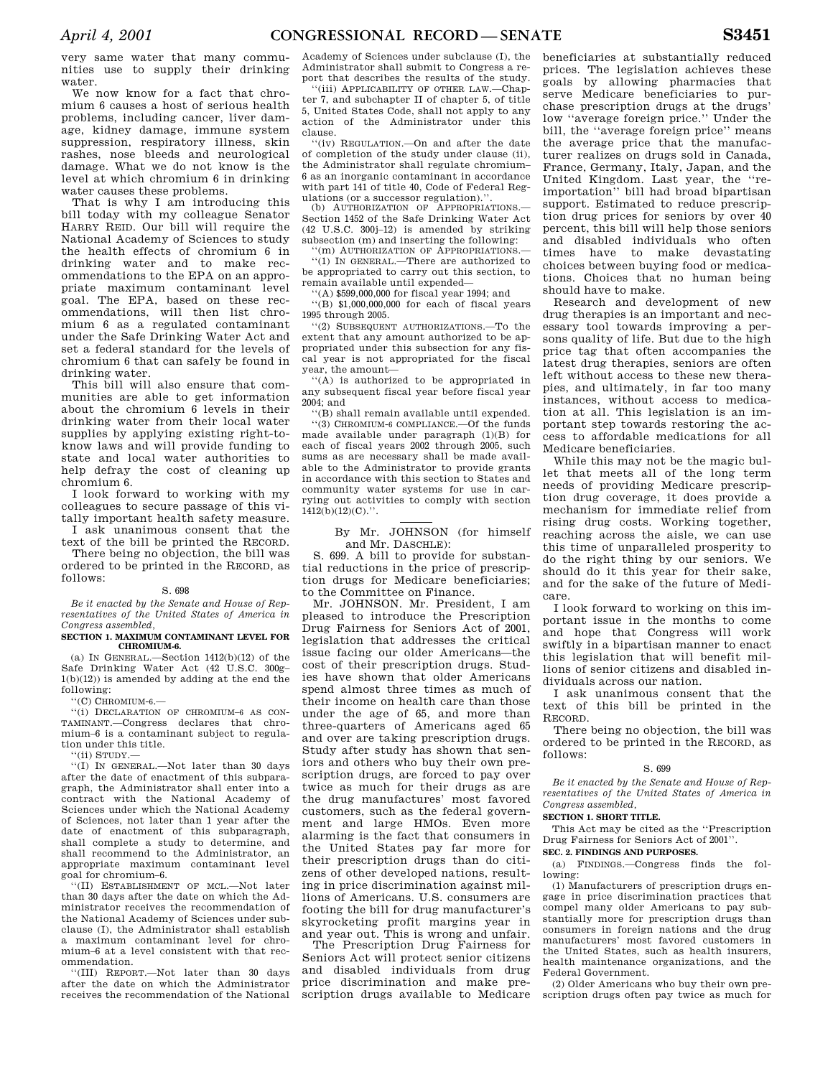very same water that many communities use to supply their drinking water.

We now know for a fact that chromium 6 causes a host of serious health problems, including cancer, liver damage, kidney damage, immune system suppression, respiratory illness, skin rashes, nose bleeds and neurological damage. What we do not know is the level at which chromium 6 in drinking water causes these problems.

That is why I am introducing this bill today with my colleague Senator HARRY REID. Our bill will require the National Academy of Sciences to study the health effects of chromium 6 in drinking water and to make recommendations to the EPA on an appropriate maximum contaminant level goal. The EPA, based on these recommendations, will then list chromium 6 as a regulated contaminant under the Safe Drinking Water Act and set a federal standard for the levels of chromium 6 that can safely be found in drinking water.

This bill will also ensure that communities are able to get information about the chromium 6 levels in their drinking water from their local water supplies by applying existing right-toknow laws and will provide funding to state and local water authorities to help defray the cost of cleaning up chromium 6.

I look forward to working with my colleagues to secure passage of this vitally important health safety measure.

I ask unanimous consent that the text of the bill be printed the RECORD. There being no objection, the bill was

ordered to be printed in the RECORD, as follows:

# S. 698

*Be it enacted by the Senate and House of Representatives of the United States of America in Congress assembled,* 

### **SECTION 1. MAXIMUM CONTAMINANT LEVEL FOR CHROMIUM-6.**

(a) IN GENERAL.—Section 1412(b)(12) of the Safe Drinking Water Act (42 U.S.C. 300g– 1(b)(12)) is amended by adding at the end the following:

''(C) CHROMIUM-6.—

''(i) DECLARATION OF CHROMIUM–6 AS CON-TAMINANT.—Congress declares that chromium–6 is a contaminant subject to regulation under this title.

''(ii) STUDY.—

''(I) IN GENERAL.—Not later than 30 days after the date of enactment of this subparagraph, the Administrator shall enter into a contract with the National Academy of Sciences under which the National Academy of Sciences, not later than 1 year after the date of enactment of this subparagraph, shall complete a study to determine, and shall recommend to the Administrator, an appropriate maximum contaminant level goal for chromium–6.

''(II) ESTABLISHMENT OF MCL.—Not later than 30 days after the date on which the Administrator receives the recommendation of the National Academy of Sciences under subclause (I), the Administrator shall establish a maximum contaminant level for chromium–6 at a level consistent with that recommendation.

''(III) REPORT.—Not later than 30 days after the date on which the Administrator receives the recommendation of the National

Academy of Sciences under subclause (I), the Administrator shall submit to Congress a report that describes the results of the study.

''(iii) APPLICABILITY OF OTHER LAW.—Chapter 7, and subchapter II of chapter 5, of title 5, United States Code, shall not apply to any action of the Administrator under this clause.

''(iv) REGULATION.—On and after the date of completion of the study under clause (ii), the Administrator shall regulate chromium– 6 as an inorganic contaminant in accordance with part 141 of title 40, Code of Federal Regulations (or a successor regulation).'

(b) AUTHORIZATION OF APPROPRIATIONS. Section 1452 of the Safe Drinking Water Act (42 U.S.C. 300j–12) is amended by striking subsection (m) and inserting the following:

''(m) AUTHORIZATION OF APPROPRIATIONS.— ''(1) IN GENERAL.—There are authorized to be appropriated to carry out this section, to remain available until expended—

''(A) \$599,000,000 for fiscal year 1994; and

''(B) \$1,000,000,000 for each of fiscal years 1995 through 2005.

''(2) SUBSEQUENT AUTHORIZATIONS.—To the extent that any amount authorized to be appropriated under this subsection for any fiscal year is not appropriated for the fiscal year, the amount—

''(A) is authorized to be appropriated in any subsequent fiscal year before fiscal year 2004; and

''(B) shall remain available until expended. ''(3) CHROMIUM-6 COMPLIANCE.—Of the funds made available under paragraph (1)(B) for each of fiscal years 2002 through 2005, such sums as are necessary shall be made available to the Administrator to provide grants in accordance with this section to States and community water systems for use in carrying out activities to comply with section  $1412(b)(12)(C)$ .".

# By Mr. JOHNSON (for himself and Mr. DASCHLE):

S. 699. A bill to provide for substantial reductions in the price of prescription drugs for Medicare beneficiaries; to the Committee on Finance.

Mr. JOHNSON. Mr. President, I am pleased to introduce the Prescription Drug Fairness for Seniors Act of 2001, legislation that addresses the critical issue facing our older Americans—the cost of their prescription drugs. Studies have shown that older Americans spend almost three times as much of their income on health care than those under the age of 65, and more than three-quarters of Americans aged 65 and over are taking prescription drugs. Study after study has shown that seniors and others who buy their own prescription drugs, are forced to pay over twice as much for their drugs as are the drug manufactures' most favored customers, such as the federal government and large HMOs. Even more alarming is the fact that consumers in the United States pay far more for their prescription drugs than do citizens of other developed nations, resulting in price discrimination against millions of Americans. U.S. consumers are footing the bill for drug manufacturer's skyrocketing profit margins year in and year out. This is wrong and unfair.

The Prescription Drug Fairness for Seniors Act will protect senior citizens and disabled individuals from drug price discrimination and make prescription drugs available to Medicare

beneficiaries at substantially reduced prices. The legislation achieves these goals by allowing pharmacies that serve Medicare beneficiaries to purchase prescription drugs at the drugs' low ''average foreign price.'' Under the bill, the ''average foreign price'' means the average price that the manufacturer realizes on drugs sold in Canada, France, Germany, Italy, Japan, and the United Kingdom. Last year, the ''reimportation'' bill had broad bipartisan support. Estimated to reduce prescription drug prices for seniors by over 40 percent, this bill will help those seniors and disabled individuals who often times have to make devastating choices between buying food or medications. Choices that no human being should have to make.

Research and development of new drug therapies is an important and necessary tool towards improving a persons quality of life. But due to the high price tag that often accompanies the latest drug therapies, seniors are often left without access to these new therapies, and ultimately, in far too many instances, without access to medication at all. This legislation is an important step towards restoring the access to affordable medications for all Medicare beneficiaries.

While this may not be the magic bullet that meets all of the long term needs of providing Medicare prescription drug coverage, it does provide a mechanism for immediate relief from rising drug costs. Working together, reaching across the aisle, we can use this time of unparalleled prosperity to do the right thing by our seniors. We should do it this year for their sake, and for the sake of the future of Medicare.

I look forward to working on this important issue in the months to come and hope that Congress will work swiftly in a bipartisan manner to enact this legislation that will benefit millions of senior citizens and disabled individuals across our nation.

I ask unanimous consent that the text of this bill be printed in the RECORD.

There being no objection, the bill was ordered to be printed in the RECORD, as follows:

# S. 699

*Be it enacted by the Senate and House of Representatives of the United States of America in Congress assembled,* 

#### **SECTION 1. SHORT TITLE.**

This Act may be cited as the ''Prescription Drug Fairness for Seniors Act of 2001''.

# **SEC. 2. FINDINGS AND PURPOSES.**

(a) FINDINGS.—Congress finds the following:

(1) Manufacturers of prescription drugs engage in price discrimination practices that compel many older Americans to pay substantially more for prescription drugs than consumers in foreign nations and the drug manufacturers' most favored customers in the United States, such as health insurers, health maintenance organizations, and the Federal Government.

(2) Older Americans who buy their own prescription drugs often pay twice as much for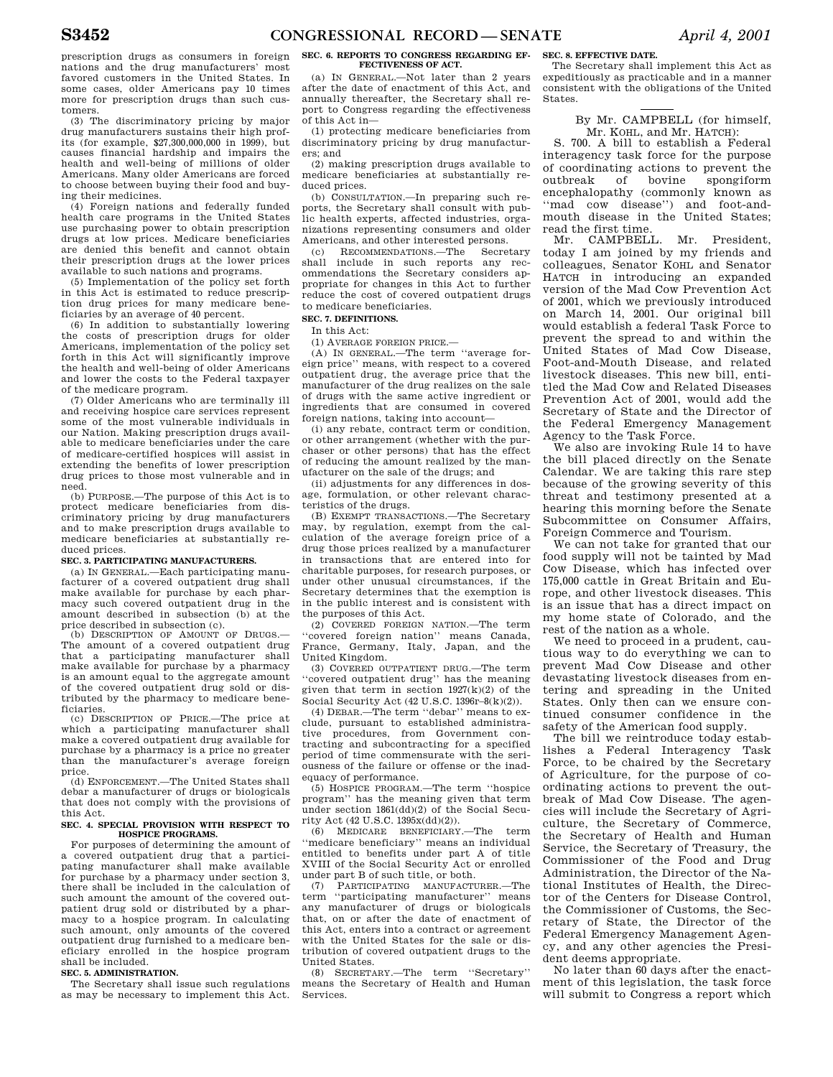prescription drugs as consumers in foreign nations and the drug manufacturers' most favored customers in the United States. In some cases, older Americans pay 10 times more for prescription drugs than such customers.

(3) The discriminatory pricing by major drug manufacturers sustains their high profits (for example, \$27,300,000,000 in 1999), but causes financial hardship and impairs the health and well-being of millions of older Americans. Many older Americans are forced to choose between buying their food and buying their medicines.

(4) Foreign nations and federally funded health care programs in the United States use purchasing power to obtain prescription drugs at low prices. Medicare beneficiaries are denied this benefit and cannot obtain their prescription drugs at the lower prices available to such nations and programs.

(5) Implementation of the policy set forth in this Act is estimated to reduce prescription drug prices for many medicare beneficiaries by an average of 40 percent.

(6) In addition to substantially lowering the costs of prescription drugs for older Americans, implementation of the policy set forth in this Act will significantly improve the health and well-being of older Americans and lower the costs to the Federal taxpayer of the medicare program.

(7) Older Americans who are terminally ill and receiving hospice care services represent some of the most vulnerable individuals in our Nation. Making prescription drugs available to medicare beneficiaries under the care of medicare-certified hospices will assist in extending the benefits of lower prescription drug prices to those most vulnerable and in need.

(b) PURPOSE.—The purpose of this Act is to protect medicare beneficiaries from discriminatory pricing by drug manufacturers and to make prescription drugs available to medicare beneficiaries at substantially reduced prices.

## **SEC. 3. PARTICIPATING MANUFACTURERS.**

(a) IN GENERAL.—Each participating manufacturer of a covered outpatient drug shall make available for purchase by each pharmacy such covered outpatient drug in the amount described in subsection (b) at the price described in subsection (c).

(b) DESCRIPTION OF AMOUNT OF DRUGS.— The amount of a covered outpatient drug that a participating manufacturer shall make available for purchase by a pharmacy is an amount equal to the aggregate amount of the covered outpatient drug sold or distributed by the pharmacy to medicare beneficiaries.

(c) DESCRIPTION OF PRICE.—The price at which a participating manufacturer shall make a covered outpatient drug available for purchase by a pharmacy is a price no greater than the manufacturer's average foreign price.

(d) ENFORCEMENT.—The United States shall debar a manufacturer of drugs or biologicals that does not comply with the provisions of this Act.

#### **SEC. 4. SPECIAL PROVISION WITH RESPECT TO HOSPICE PROGRAMS.**

For purposes of determining the amount of a covered outpatient drug that a participating manufacturer shall make available for purchase by a pharmacy under section 3, there shall be included in the calculation of such amount the amount of the covered outpatient drug sold or distributed by a pharmacy to a hospice program. In calculating such amount, only amounts of the covered outpatient drug furnished to a medicare beneficiary enrolled in the hospice program shall be included.

### **SEC. 5. ADMINISTRATION.**

The Secretary shall issue such regulations as may be necessary to implement this Act.

**SEC. 6. REPORTS TO CONGRESS REGARDING EF-FECTIVENESS OF ACT.** 

(a) IN GENERAL.—Not later than 2 years after the date of enactment of this Act, and annually thereafter, the Secretary shall report to Congress regarding the effectiveness of this Act in—

(1) protecting medicare beneficiaries from discriminatory pricing by drug manufacturers; and

(2) making prescription drugs available to medicare beneficiaries at substantially reduced prices.

(b) CONSULTATION.—In preparing such reports, the Secretary shall consult with public health experts, affected industries, organizations representing consumers and older Americans, and other interested persons.

(c) RECOMMENDATIONS.—The Secretary shall include in such reports any recommendations the Secretary considers appropriate for changes in this Act to further reduce the cost of covered outpatient drugs to medicare beneficiaries.

## **SEC. 7. DEFINITIONS.**

In this Act:

(1) AVERAGE FOREIGN PRICE.—

(A) IN GENERAL.—The term ''average foreign price'' means, with respect to a covered outpatient drug, the average price that the manufacturer of the drug realizes on the sale of drugs with the same active ingredient or ingredients that are consumed in covered foreign nations, taking into account—

(i) any rebate, contract term or condition, or other arrangement (whether with the purchaser or other persons) that has the effect of reducing the amount realized by the manufacturer on the sale of the drugs; and

(ii) adjustments for any differences in dosage, formulation, or other relevant characteristics of the drugs.

(B) EXEMPT TRANSACTIONS.—The Secretary may, by regulation, exempt from the calculation of the average foreign price of a drug those prices realized by a manufacturer in transactions that are entered into for charitable purposes, for research purposes, or under other unusual circumstances, if the Secretary determines that the exemption is in the public interest and is consistent with the purposes of this Act.

(2) COVERED FOREIGN NATION.—The term ''covered foreign nation'' means Canada, France, Germany, Italy, Japan, and the United Kingdom.

(3) COVERED OUTPATIENT DRUG.—The term ''covered outpatient drug'' has the meaning given that term in section  $1927(k)(2)$  of the Social Security Act (42 U.S.C. 1396r–8(k)(2)).

(4) DEBAR.—The term ''debar'' means to exclude, pursuant to established administrative procedures, from Government contracting and subcontracting for a specified period of time commensurate with the seriousness of the failure or offense or the inadequacy of performance.

(5) HOSPICE PROGRAM.—The term ''hospice program'' has the meaning given that term under section 1861(dd)(2) of the Social Security Act (42 U.S.C. 1395x(dd)(2)).

(6) MEDICARE BENEFICIARY.—The term ''medicare beneficiary'' means an individual entitled to benefits under part A of title XVIII of the Social Security Act or enrolled under part B of such title, or both.

(7) PARTICIPATING MANUFACTURER.—The term ''participating manufacturer'' means any manufacturer of drugs or biologicals that, on or after the date of enactment of this Act, enters into a contract or agreement with the United States for the sale or distribution of covered outpatient drugs to the United States.

(8) SECRETARY.—The term ''Secretary'' means the Secretary of Health and Human Services.

### **SEC. 8. EFFECTIVE DATE.**

The Secretary shall implement this Act as expeditiously as practicable and in a manner consistent with the obligations of the United States.

# By Mr. CAMPBELL (for himself, Mr. KOHL, and Mr. HATCH):

S. 700. A bill to establish a Federal interagency task force for the purpose of coordinating actions to prevent the<br>outbreak of bovine spongiform outbreak of encephalopathy (commonly known as ''mad cow disease'') and foot-andmouth disease in the United States; read the first time.

Mr. CAMPBELL. Mr. President, today I am joined by my friends and colleagues, Senator KOHL and Senator HATCH in introducing an expanded version of the Mad Cow Prevention Act of 2001, which we previously introduced on March 14, 2001. Our original bill would establish a federal Task Force to prevent the spread to and within the United States of Mad Cow Disease, Foot-and-Mouth Disease, and related livestock diseases. This new bill, entitled the Mad Cow and Related Diseases Prevention Act of 2001, would add the Secretary of State and the Director of the Federal Emergency Management Agency to the Task Force.

We also are invoking Rule 14 to have the bill placed directly on the Senate Calendar. We are taking this rare step because of the growing severity of this threat and testimony presented at a hearing this morning before the Senate Subcommittee on Consumer Affairs, Foreign Commerce and Tourism.

We can not take for granted that our food supply will not be tainted by Mad Cow Disease, which has infected over 175,000 cattle in Great Britain and Europe, and other livestock diseases. This is an issue that has a direct impact on my home state of Colorado, and the rest of the nation as a whole.

We need to proceed in a prudent, cautious way to do everything we can to prevent Mad Cow Disease and other devastating livestock diseases from entering and spreading in the United States. Only then can we ensure continued consumer confidence in the safety of the American food supply.

The bill we reintroduce today establishes a Federal Interagency Task Force, to be chaired by the Secretary of Agriculture, for the purpose of coordinating actions to prevent the outbreak of Mad Cow Disease. The agencies will include the Secretary of Agriculture, the Secretary of Commerce, the Secretary of Health and Human Service, the Secretary of Treasury, the Commissioner of the Food and Drug Administration, the Director of the National Institutes of Health, the Director of the Centers for Disease Control, the Commissioner of Customs, the Secretary of State, the Director of the Federal Emergency Management Agency, and any other agencies the President deems appropriate.

No later than 60 days after the enactment of this legislation, the task force will submit to Congress a report which